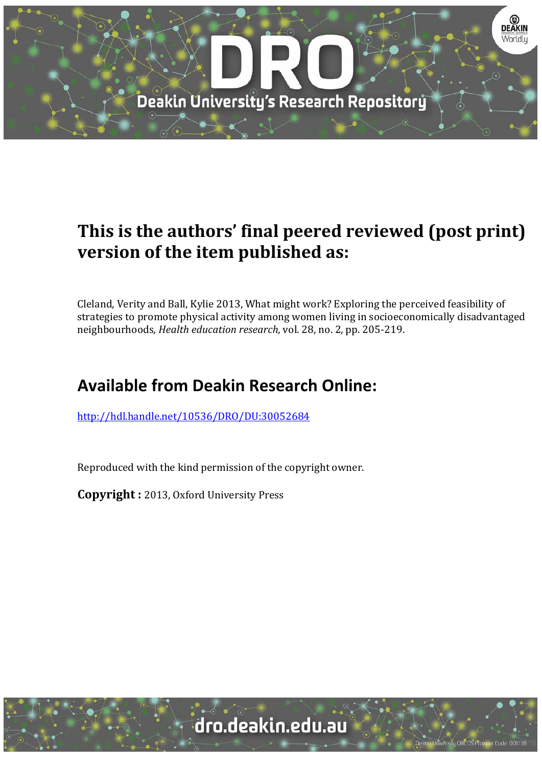

# **This is the authors' final peered reviewed (post print) version of the item published as:**

Cleland, Verity and Ball, Kylie 2013, What might work? Exploring the perceived feasibility of strategies to promote physical activity among women living in socioeconomically disadvantaged neighbourhoods*, Health education research*, vol. 28, no. 2, pp. 205‐219. 

# **Available from Deakin Research Online:**

http://hdl.handle.net/10536/DRO/DU:30052684

Reproduced with the kind permission of the copyright owner.

**Copyright** : 2013, Oxford University Press

University CRICOS Provider Code: 00113E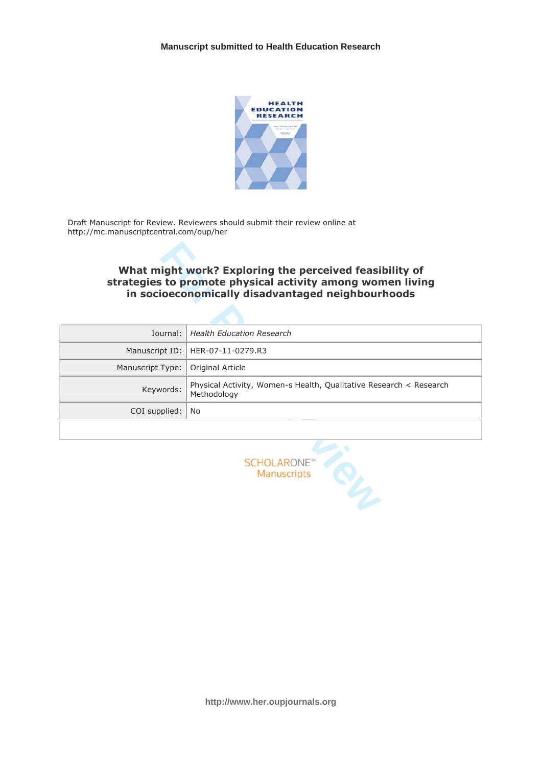

Draft Manuscript for Review. Reviewers should submit their review online at http://mc.manuscriptcentral.com/oup/her

# What might work? Exploring the perceived feasibility of strategies to promote physical activity among women living in socioeconomically disadvantaged neighbourhoods

|                  | What might work? Exploring the perceived feasibility of<br>strategies to promote physical activity among women living<br>in socioeconomically disadvantaged neighbourhoods |
|------------------|----------------------------------------------------------------------------------------------------------------------------------------------------------------------------|
| Journal:         | <b>Health Education Research</b>                                                                                                                                           |
| Manuscript ID:   | HER-07-11-0279.R3                                                                                                                                                          |
| Manuscript Type: | Original Article                                                                                                                                                           |
| Keywords:        | Physical Activity, Women-s Health, Qualitative Research < Research<br>Methodology                                                                                          |
| COI supplied:    | No                                                                                                                                                                         |
|                  |                                                                                                                                                                            |
|                  | <b>SCHOLARONE</b><br>Manuscripts                                                                                                                                           |

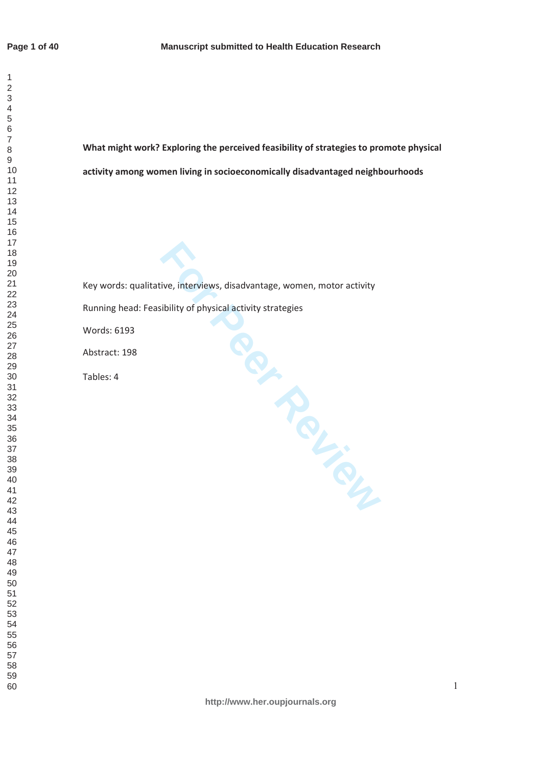$\mathbf{1}$ 

What might work? Exploring the perceived feasibility of strategies to promote physical activity among women living in socioeconomically disadvantaged neighbourhoods

Final School and School and School and School and School and School and School and School and School and School and School and School and School and School and School and School and School and School and School and School Key words: qualitative, interviews, disadvantage, women, motor activity Running head: Feasibility of physical activity strategies Words: 6193 Abstract: 198 Tables: 4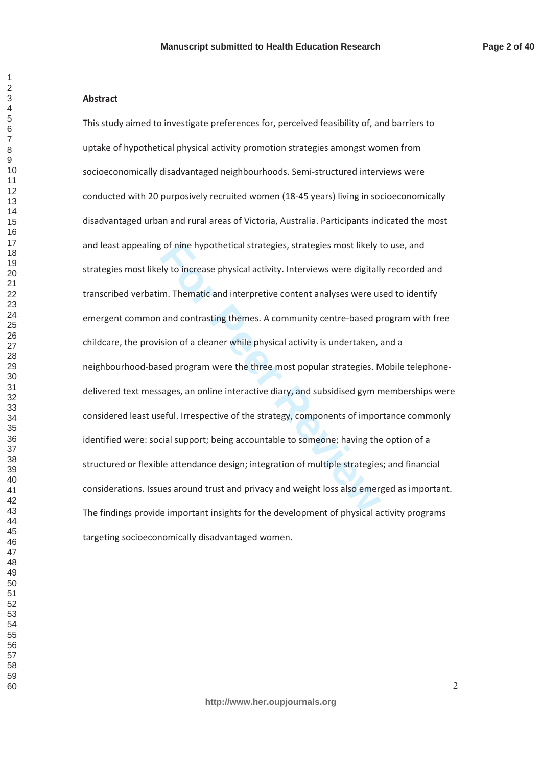## **Abstract**

**For the interpret Consumersy, strategies most likely is the increase physical activity. Interviews were digitall m. The<br>matic and interpretive content analyses were us and contrasting themes. A community centre-based p<br>si** This study aimed to investigate preferences for, perceived feasibility of, and barriers to uptake of hypothetical physical activity promotion strategies amongst women from socioeconomically disadvantaged neighbourhoods. Semi-structured interviews were conducted with 20 purposively recruited women (18-45 years) living in socioeconomically disadvantaged urban and rural areas of Victoria, Australia. Participants indicated the most and least appealing of nine hypothetical strategies, strategies most likely to use, and strategies most likely to increase physical activity. Interviews were digitally recorded and transcribed verbatim. Thematic and interpretive content analyses were used to identify emergent common and contrasting themes. A community centre-based program with free childcare, the provision of a cleaner while physical activity is undertaken, and a neighbourhood-based program were the three most popular strategies. Mobile telephonedelivered text messages, an online interactive diary, and subsidised gym memberships were considered least useful. Irrespective of the strategy, components of importance commonly identified were: social support; being accountable to someone; having the option of a structured or flexible attendance design: integration of multiple strategies: and financial considerations. Issues around trust and privacy and weight loss also emerged as important. The findings provide important insights for the development of physical activity programs targeting socioeconomically disadvantaged women.

 $\mathbf{1}$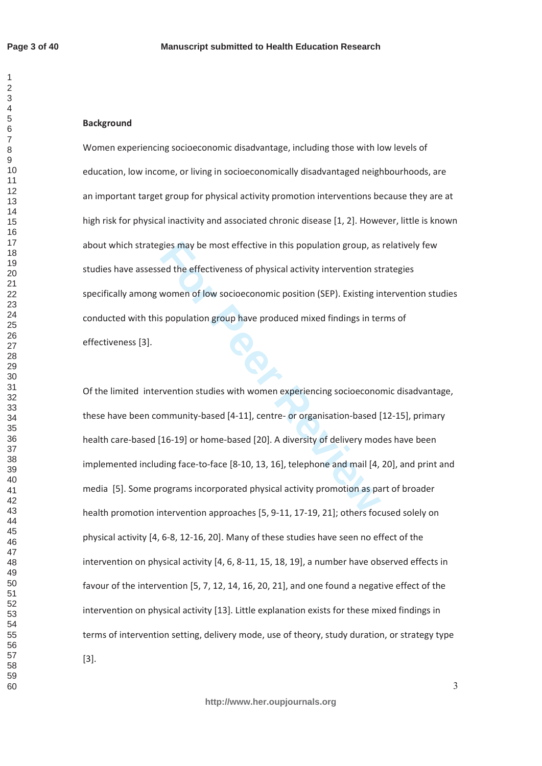$\mathbf{1}$  $\overline{2}$  $\overline{\mathcal{L}}$  $\overline{7}$ 

# **Background**

Women experiencing socioeconomic disadvantage, including those with low levels of education, low income, or living in socioeconomically disadvantaged neighbourhoods, are an important target group for physical activity promotion interventions because they are at high risk for physical inactivity and associated chronic disease [1, 2]. However, little is known about which strategies may be most effective in this population group, as relatively few studies have assessed the effectiveness of physical activity intervention strategies specifically among women of low socioeconomic position (SEP). Existing intervention studies conducted with this population group have produced mixed findings in terms of effectiveness [3].

gies may be most effective in this population group, as<br>
red the effectiveness of physical activity intervention st<br>
women of low socioeconomic position (SEP). Existing ir<br>
s population group have produced mixed findings i Of the limited intervention studies with women experiencing socioeconomic disadvantage, these have been community-based [4-11], centre- or organisation-based [12-15], primary health care-based [16-19] or home-based [20]. A diversity of delivery modes have been implemented including face-to-face [8-10, 13, 16], telephone and mail [4, 20], and print and media [5]. Some programs incorporated physical activity promotion as part of broader health promotion intervention approaches [5, 9-11, 17-19, 21]; others focused solely on physical activity [4, 6-8, 12-16, 20]. Many of these studies have seen no effect of the intervention on physical activity [4, 6, 8-11, 15, 18, 19], a number have observed effects in favour of the intervention [5, 7, 12, 14, 16, 20, 21], and one found a negative effect of the intervention on physical activity [13]. Little explanation exists for these mixed findings in terms of intervention setting, delivery mode, use of theory, study duration, or strategy type  $[3]$ .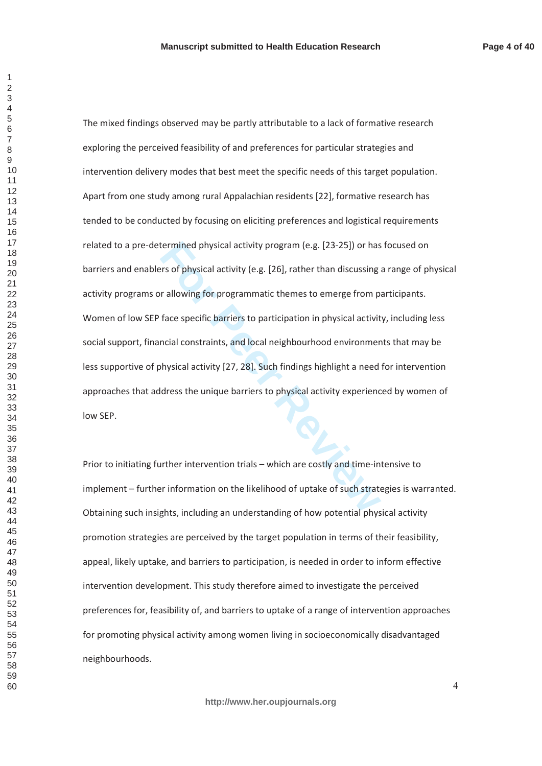$\overline{4}$ 

termined physical activity program (e.g. [23-25]) or has<br>
For Sof physical activity (e.g. [26], rather than discussing<br>
For allowing for programmatic themes to emerge from p<br>
face specific barriers to participation in phys The mixed findings observed may be partly attributable to a lack of formative research exploring the perceived feasibility of and preferences for particular strategies and intervention delivery modes that best meet the specific needs of this target population. Apart from one study among rural Appalachian residents [22], formative research has tended to be conducted by focusing on eliciting preferences and logistical requirements related to a pre-determined physical activity program (e.g. [23-25]) or has focused on barriers and enablers of physical activity (e.g. [26], rather than discussing a range of physical activity programs or allowing for programmatic themes to emerge from participants. Women of low SEP face specific barriers to participation in physical activity, including less social support, financial constraints, and local neighbourhood environments that may be less supportive of physical activity [27, 28]. Such findings highlight a need for intervention approaches that address the unique barriers to physical activity experienced by women of low SEP.

Prior to initiating further intervention trials – which are costly and time-intensive to implement – further information on the likelihood of uptake of such strategies is warranted. Obtaining such insights, including an understanding of how potential physical activity promotion strategies are perceived by the target population in terms of their feasibility, appeal, likely uptake, and barriers to participation, is needed in order to inform effective intervention development. This study therefore aimed to investigate the perceived preferences for, feasibility of, and barriers to uptake of a range of intervention approaches for promoting physical activity among women living in socioeconomically disadvantaged neighbourhoods.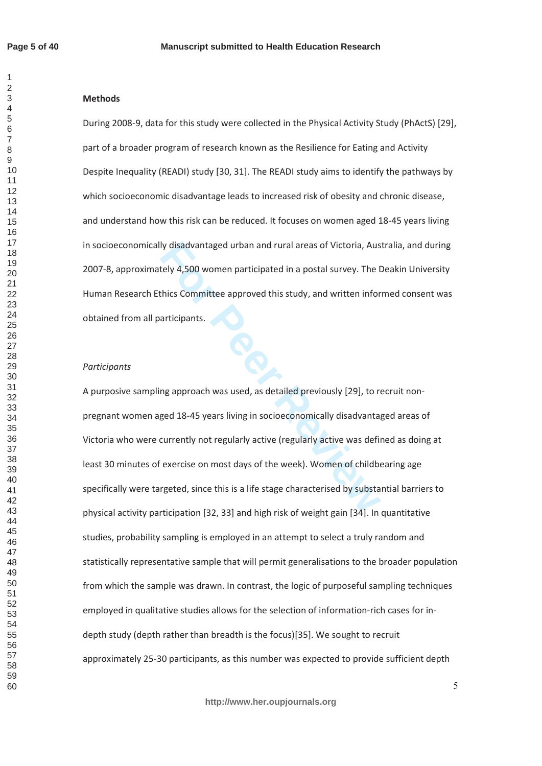$\mathbf{1}$  $\overline{2}$  $\overline{\mathcal{L}}$  $\overline{7}$ 

# **Methods**

During 2008-9, data for this study were collected in the Physical Activity Study (PhActS) [29], part of a broader program of research known as the Resilience for Eating and Activity Despite Inequality (READI) study [30, 31]. The READI study aims to identify the pathways by which socioeconomic disadvantage leads to increased risk of obesity and chronic disease, and understand how this risk can be reduced. It focuses on women aged 18-45 years living in socioeconomically disadvantaged urban and rural areas of Victoria, Australia, and during 2007-8, approximately 4,500 women participated in a postal survey. The Deakin University Human Research Ethics Committee approved this study, and written informed consent was obtained from all participants.

#### *Participants*

Iy disadvantaged urban and rural areas of Victoria, Austely 4,500 women participated in a postal survey. The I<br>thics Committee approved this study, and written infor<br>articipants.<br>In this study and written infor<br>articipants A purposive sampling approach was used, as detailed previously [29], to recruit nonpregnant women aged 18-45 years living in socioeconomically disadvantaged areas of Victoria who were currently not regularly active (regularly active was defined as doing at least 30 minutes of exercise on most davs of the week). Women of childbearing age specifically were targeted, since this is a life stage characterised by substantial barriers to physical activity participation [32, 33] and high risk of weight gain [34]. In quantitative studies, probability sampling is employed in an attempt to select a truly random and statistically representative sample that will permit generalisations to the broader population from which the sample was drawn. In contrast, the logic of purposeful sampling techniques employed in qualitative studies allows for the selection of information-rich cases for indepth study (depth rather than breadth is the focus)[35]. We sought to recruit approximately 25-30 participants, as this number was expected to provide sufficient depth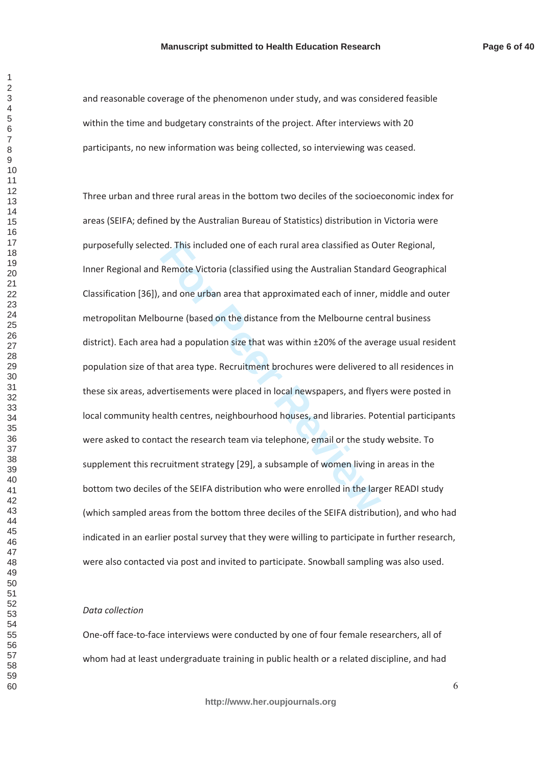and reasonable coverage of the phenomenon under study, and was considered feasible within the time and budgetary constraints of the project. After interviews with 20 participants, no new information was being collected, so interviewing was ceased.

ed. This included one of each rural area classified as Ot<br>Remote Victoria (classified using the Australian Standa<br>and one urban area that approximated each of inner,<br>ourne (based on the distance from the Melbourne cen<br>had Three urban and three rural areas in the bottom two deciles of the socioeconomic index for areas (SEIFA; defined by the Australian Bureau of Statistics) distribution in Victoria were purposefully selected. This included one of each rural area classified as Outer Regional, Inner Regional and Remote Victoria (classified using the Australian Standard Geographical Classification [36]), and one urban area that approximated each of inner, middle and outer metropolitan Melbourne (based on the distance from the Melbourne central business district). Each area had a population size that was within ±20% of the average usual resident population size of that area type. Recruitment brochures were delivered to all residences in these six areas, advertisements were placed in local newspapers, and flyers were posted in local community health centres, neighbourhood houses, and libraries. Potential participants were asked to contact the research team via telephone, email or the study website. To supplement this recruitment strategy [29], a subsample of women living in areas in the bottom two deciles of the SEIFA distribution who were enrolled in the larger READI study (which sampled areas from the bottom three deciles of the SEIFA distribution), and who had indicated in an earlier postal survey that they were willing to participate in further research, were also contacted via post and invited to participate. Snowball sampling was also used.

#### *Data collection*

One-off face-to-face interviews were conducted by one of four female researchers, all of whom had at least undergraduate training in public health or a related discipline, and had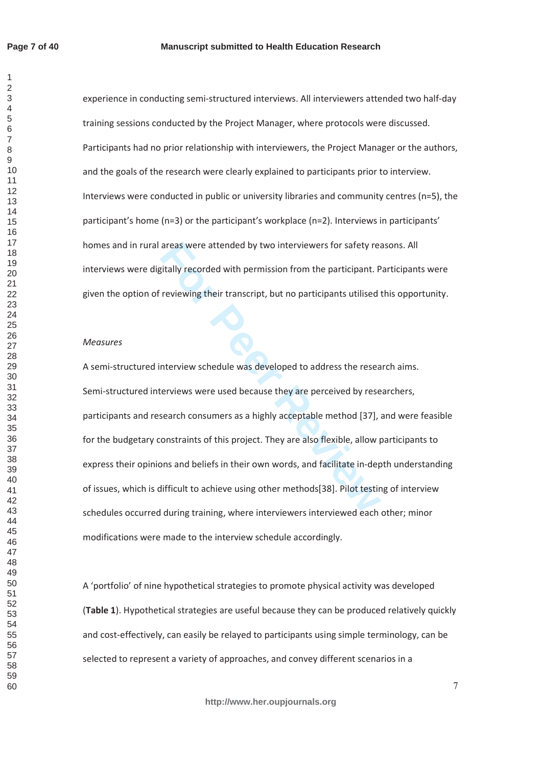$\mathbf{1}$  $\overline{2}$ 

experience in conducting semi-structured interviews. All interviewers attended two half-day training sessions conducted by the Project Manager, where protocols were discussed. Participants had no prior relationship with interviewers, the Project Manager or the authors, and the goals of the research were clearly explained to participants prior to interview. Interviews were conducted in public or university libraries and community centres (n=5), the participant's home (n=3) or the participant's workplace (n=2). Interviews in participants' homes and in rural areas were attended by two interviewers for safety reasons. All interviews were digitally recorded with permission from the participant. Participants were given the option of reviewing their transcript, but no participants utilised this opportunity.

#### *Measures*

areas were attended by two interviewers for safety realistially recorded with permission from the participant. Previewing their transcript, but no participants utilised<br>reviewing their transcript, but no participants utili A semi-structured interview schedule was developed to address the research aims. Semi-structured interviews were used because they are perceived by researchers, participants and research consumers as a highly acceptable method [37], and were feasible for the budgetary constraints of this project. They are also flexible, allow participants to express their opinions and beliefs in their own words, and facilitate in-depth understanding of issues, which is difficult to achieve using other methods[38]. Pilot testing of interview schedules occurred during training, where interviewers interviewed each other; minor modifications were made to the interview schedule accordingly.

A 'portfolio' of nine hypothetical strategies to promote physical activity was developed (Table 1). Hypothetical strategies are useful because they can be produced relatively quickly and cost-effectively, can easily be relayed to participants using simple terminology, can be selected to represent a variety of approaches, and convey different scenarios in a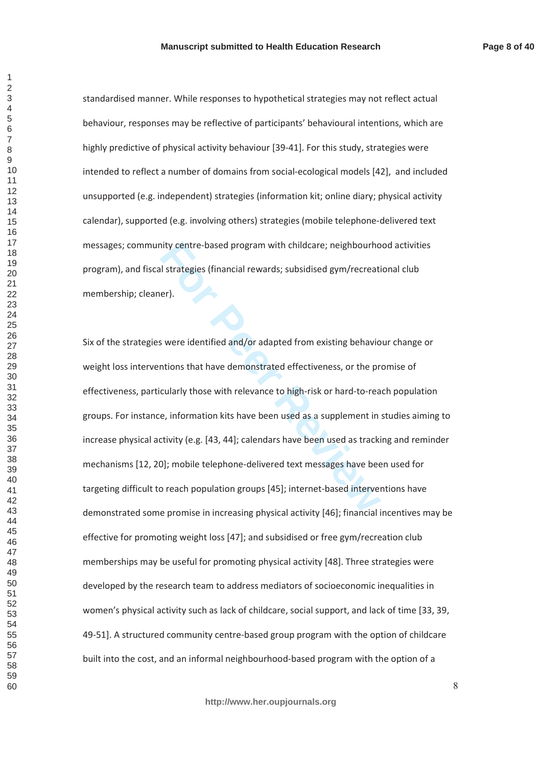standardised manner. While responses to hypothetical strategies may not reflect actual behaviour, responses may be reflective of participants' behavioural intentions, which are highly predictive of physical activity behaviour [39-41]. For this study, strategies were intended to reflect a number of domains from social-ecological models [42], and included unsupported (e.g. independent) strategies (information kit; online diary; physical activity calendar), supported (e.g. involving others) strategies (mobile telephone-delivered text messages; community centre-based program with childcare; neighbourhood activities program), and fiscal strategies (financial rewards; subsidised gym/recreational club membership; cleaner).

hity centre-based program with childcare; neighbourhout<br> **Formulation** is utilized gym/recreat<br> **Formulation**<br> **Formulation**<br> **Formulation**<br> **Formulation**<br> **Formulation**<br> **Formulation**<br> **Formulation**<br> **Formulation**<br> **Formu** Six of the strategies were identified and/or adapted from existing behaviour change or weight loss interventions that have demonstrated effectiveness, or the promise of effectiveness, particularly those with relevance to high-risk or hard-to-reach population groups. For instance, information kits have been used as a supplement in studies aiming to increase physical activity (e.g. [43, 44]; calendars have been used as tracking and reminder mechanisms [12, 20]; mobile telephone-delivered text messages have been used for targeting difficult to reach population groups [45]; internet-based interventions have demonstrated some promise in increasing physical activity [46]; financial incentives may be effective for promoting weight loss [47]; and subsidised or free gym/recreation club memberships may be useful for promoting physical activity [48]. Three strategies were developed by the research team to address mediators of socioeconomic inequalities in women's physical activity such as lack of childcare, social support, and lack of time [33, 39, 49-51]. A structured community centre-based group program with the option of childcare built into the cost, and an informal neighbourhood-based program with the option of a

 $\mathbf{1}$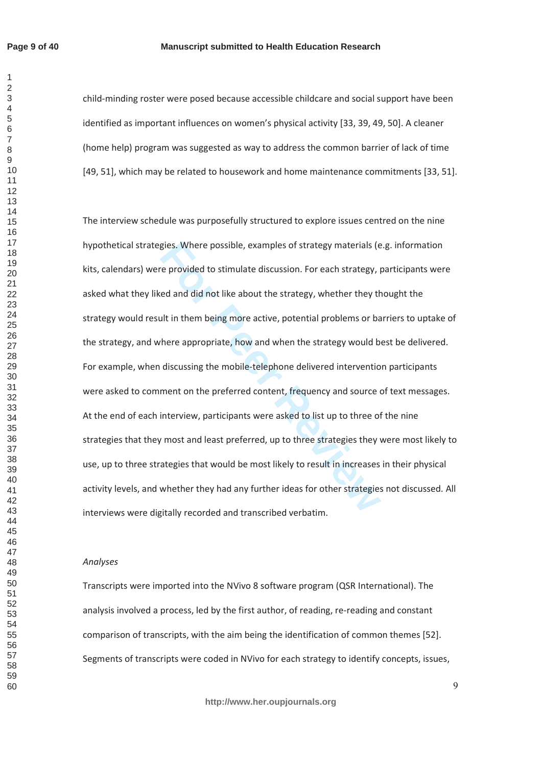$\mathbf{1}$ 

#### **Manuscript submitted to Health Education Research**

child-minding roster were posed because accessible childcare and social support have been identified as important influences on women's physical activity [33, 39, 49, 50]. A cleaner (home help) program was suggested as way to address the common barrier of lack of time [49, 51], which may be related to housework and home maintenance commitments [33, 51].

gies. Where possible, examples of strategy materials (e<br>e provided to stimulate discussion. For each strategy,  $|$ <br>ed and did not like about the strategy, whether they the<br>ult in them being more active, potential problems The interview schedule was purposefully structured to explore issues centred on the nine hypothetical strategies. Where possible, examples of strategy materials (e.g. information kits, calendars) were provided to stimulate discussion. For each strategy, participants were asked what they liked and did not like about the strategy, whether they thought the strategy would result in them being more active, potential problems or barriers to uptake of the strategy, and where appropriate, how and when the strategy would best be delivered. For example, when discussing the mobile-telephone delivered intervention participants were asked to comment on the preferred content, frequency and source of text messages. At the end of each interview, participants were asked to list up to three of the nine strategies that they most and least preferred, up to three strategies they were most likely to use, up to three strategies that would be most likely to result in increases in their physical activity levels, and whether they had any further ideas for other strategies not discussed. All interviews were digitally recorded and transcribed verbatim.

# Analyses

Transcripts were imported into the NVivo 8 software program (QSR International). The analysis involved a process, led by the first author, of reading, re-reading and constant comparison of transcripts, with the aim being the identification of common themes [52]. Segments of transcripts were coded in NVivo for each strategy to identify concepts, issues,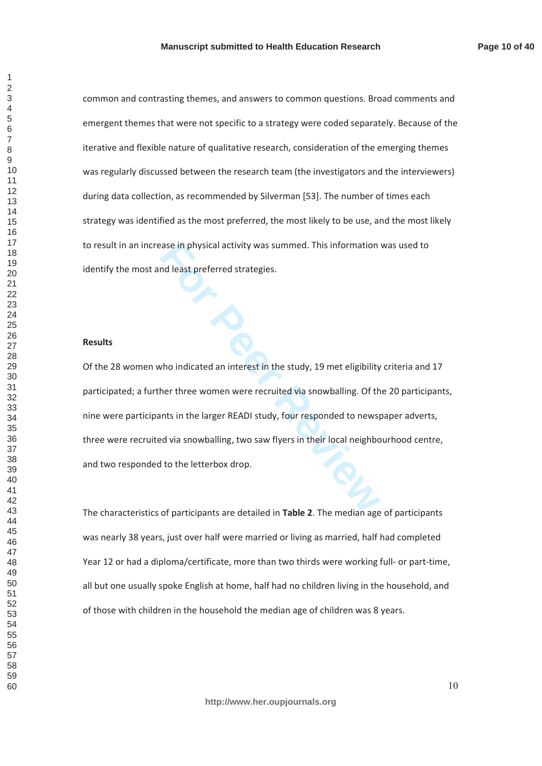common and contrasting themes, and answers to common questions. Broad comments and emergent themes that were not specific to a strategy were coded separately. Because of the iterative and flexible nature of qualitative research, consideration of the emerging themes was regularly discussed between the research team (the investigators and the interviewers) during data collection, as recommended by Silverman [53]. The number of times each strategy was identified as the most preferred, the most likely to be use, and the most likely to result in an increase in physical activity was summed. This information was used to identify the most and least preferred strategies.

#### **Results**

For Physical activity was summed. This information<br>
Index preferred strategies.<br>
Who indicated an interest in the study, 19 met eligibility<br>
ther three women were recruited via snowballing. Of th<br>
Innts in the larger READI Of the 28 women who indicated an interest in the study, 19 met eligibility criteria and 17 participated; a further three women were recruited via snowballing. Of the 20 participants, nine were participants in the larger READI study, four responded to newspaper adverts, three were recruited via snowballing, two saw flyers in their local neighbourhood centre, and two responded to the letterbox drop.

The characteristics of participants are detailed in **Table 2**. The median age of participants was nearly 38 years, just over half were married or living as married, half had completed Year 12 or had a diploma/certificate, more than two thirds were working full- or part-time, all but one usually spoke English at home, half had no children living in the household, and of those with children in the household the median age of children was 8 years.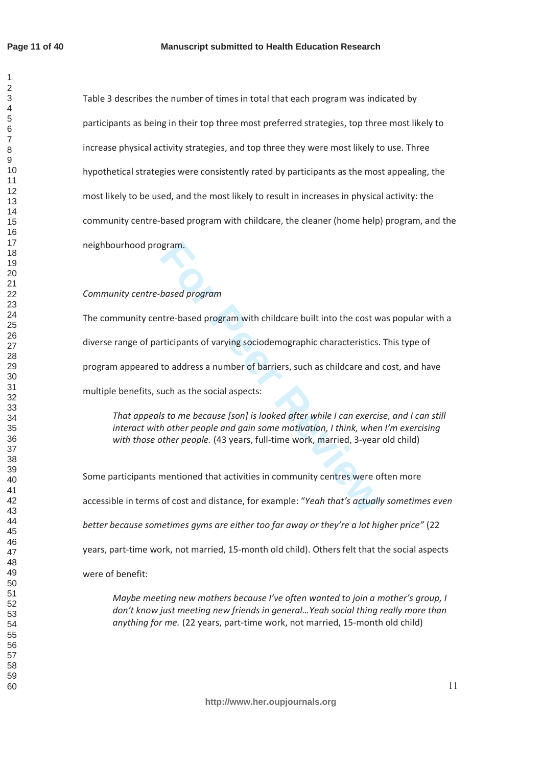$\overline{1}$ 

Table 3 describes the number of times in total that each program was indicated by participants as being in their top three most preferred strategies, top three most likely to increase physical activity strategies, and top three they were most likely to use. Three hypothetical strategies were consistently rated by participants as the most appealing, the most likely to be used, and the most likely to result in increases in physical activity: the community centre-based program with childcare, the cleaner (home help) program, and the neighbourhood program.

# *Community centre-based program*

param.<br>
based program<br>
htre-based program with childcare built into the cost w<br>
rticipants of varying sociodemographic characteristics.<br>
to address a number of barriers, such as childcare and<br>
uch as the social aspects:<br>
s The community centre-based program with childcare built into the cost was popular with a diverse range of participants of varying sociodemographic characteristics. This type of program appeared to address a number of barriers, such as childcare and cost, and have multiple benefits, such as the social aspects:

*dat appeals to me because [son] is looked after while I can exercise, and I can still interact with other people and gain some motivation, I think, when I'm exercising* with those other people. (43 years, full-time work, married, 3-year old child)

Some participants mentioned that activities in community centres were often more accessible in terms of cost and distance, for example: "Yeah that's actually sometimes even *better because sometimes gyms are either too far away or they're a lot higher price"* (22 years, part-time work, not married, 15-month old child). Others felt that the social aspects were of benefit:

*Maybe meeting new mothers because I've often wanted to join a mother's group, I* don't know just meeting new friends in general... Yeah social thing really more than *anything for me.* (22 years, part-time work, not married, 15-month old child)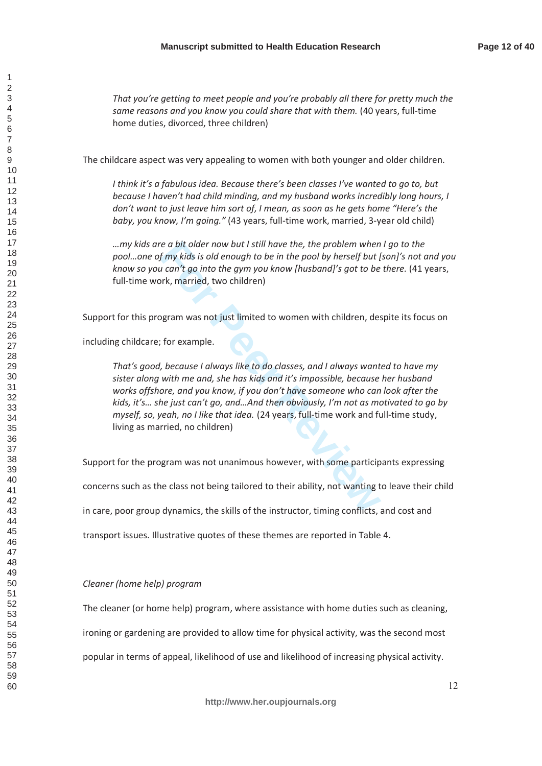*That you're getting to meet people and you're probably all there for pretty much the same reasons and you know you could share that with them.* (40 years, full-time home duties, divorced, three children)

The childcare aspect was very appealing to women with both younger and older children.

*I* think it's a fabulous idea. Because there's been classes I've wanted to go to, but *because I haven't had child minding, and my husband works incredibly long hours, I don't want to just leave him sort of, I mean, as soon as he gets home "Here's the baby, you know, I'm going."* (43 years, full-time work, married, 3-year old child)

*way kids are a bit older now but I still have the, the problem when I go to the pool...one of my kids is old enough to be in the pool by herself but [son]'s not and you know so you can't go into the gym you know [husband]'s got to be there.* (41 years, full-time work, married, two children)

Support for this program was not just limited to women with children, despite its focus on

including childcare; for example.

re a bit older now but I still have the, the problem when<br>
f my kids is old enough to be in the pool by herself but I<br>
i can't go into the gym you know [husband]'s got to be<br>
ork, married, two children)<br>
ggram was not just That's good, because I always like to do classes, and I always wanted to have my sister along with me and, she has kids and it's impossible, because her husband works offshore, and you know, if you don't have someone who can look after the *kids, it's... she just can't go, and...And then obviously, I'm not as motivated to go by myself, so, yeah, no I like that idea.* (24 years, full-time work and full-time study, living as married, no children)

Support for the program was not unanimous however, with some participants expressing

concerns such as the class not being tailored to their ability, not wanting to leave their child

in care, poor group dynamics, the skills of the instructor, timing conflicts, and cost and

transport issues. Illustrative quotes of these themes are reported in Table 4.

## *Cleaner (home help) program*

The cleaner (or home help) program, where assistance with home duties such as cleaning,

ironing or gardening are provided to allow time for physical activity, was the second most

popular in terms of appeal, likelihood of use and likelihood of increasing physical activity.

 $\overline{1}$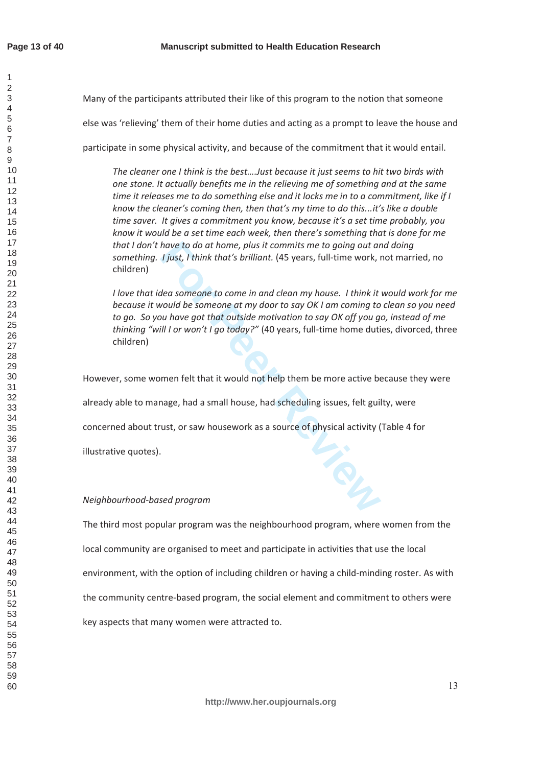$\overline{1}$  $\mathfrak{p}$  $\overline{4}$  $\overline{7}$ 

Many of the participants attributed their like of this program to the notion that someone else was 'relieving' them of their home duties and acting as a prompt to leave the house and participate in some physical activity, and because of the commitment that it would entail.

The cleaner one I think is the best....Just because it just seems to hit two birds with *Zone stone. It actually benefits me in the relieving me of something and at the same time it releases me to do something else and it locks me in to a commitment. like if I know the cleaner's coming then, then that's my time to do this...it's like a double time saver.* It gives a commitment you know, because it's a set time probably, you *know it would be a set time each week, then there's something that is done for me that I don't have to do at home, plus it commits me to going out and doing something. I just, I think that's brilliant.* (45 years, full-time work, not married, no children)

have to do at home, plus it commits me to going out at<br> **For Peer Review All-time** work, that<br> **For Peer Review All-time** work, the<br> **Formal Example 1** and clean my house. I think it<br> **For Peer Peer All-time** of the someon *<i>l* love that idea someone to come in and clean my house. *I* think it would work for me *because it would be someone at my door to say OK I am coming to clean so you need* to go. So you have got that outside motivation to say OK off you go, instead of me *thinking "will I or won't I go today?"* (40 years, full-time home duties, divorced, three children)

However, some women felt that it would not help them be more active because they were

already able to manage, had a small house, had scheduling issues, felt guilty, were

concerned about trust, or saw housework as a source of physical activity (Table 4 for

illustrative quotes).

#### *Neighbourhood-based program*

The third most popular program was the neighbourhood program, where women from the local community are organised to meet and participate in activities that use the local environment, with the option of including children or having a child-minding roster. As with the community centre-based program, the social element and commitment to others were key aspects that many women were attracted to.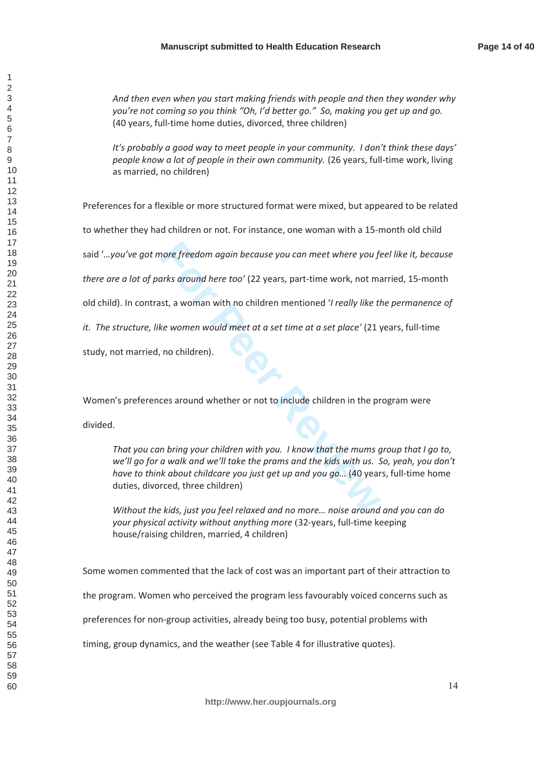And then even when you start making friends with people and then they wonder why *Jou're not coming so you think "Oh, I'd better go." So, making you get up and go.* (40 years, full-time home duties, divorced, three children)

*It's probably a good way to meet people in your community. I don't think these days' people know a lot of people in their own community.* (26 years, full-time work, living as married, no children)

Preferences for a flexible or more structured format were mixed, but appeared to be related

to whether they had children or not. For instance, one woman with a 15-month old child

said "...you've got more freedom again because you can meet where you feel like it, because

*there are a lot of parks around here too'* (22 years, part-time work, not married, 15-month

old child). In contrast, a woman with no children mentioned '*I really like the permanence of* 

*it. The structure, like women would meet at a set time at a set place'* (21 years, full-time

study, not married, no children).

Women's preferences around whether or not to include children in the program were

divided.

**For all and the EXEC 12 Search CONDOG CONDUCT**<br>For Ke around here too' (22 years, part-time work, not mist, a woman with no children mentioned 'I really like the<br>Ke women would meet at a set time at a set place' (21 years *dat you can bring your children with you. I know that the mums group that I go to,* we'll go for a walk and we'll take the prams and the kids with us. So, yeah, you don't *have to think about childcare you just get up and you go...* (40 years, full-time home duties, divorced, three children)

*Without the kids, just you feel relaxed and no more... noise around and you can do* your physical activity without anything more (32-years, full-time keeping house/raising children, married, 4 children)

Some women commented that the lack of cost was an important part of their attraction to

the program. Women who perceived the program less favourably voiced concerns such as

preferences for non-group activities, already being too busy, potential problems with

timing, group dynamics, and the weather (see Table 4 for illustrative quotes).

 $\overline{1}$  $\mathfrak{p}$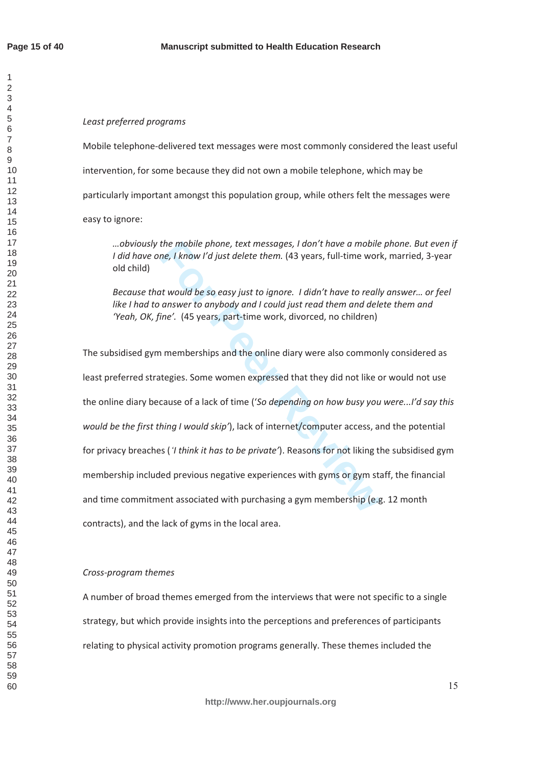$\overline{1}$  $\mathfrak{p}$ 

## Least preferred programs

Mobile telephone-delivered text messages were most commonly considered the least useful intervention, for some because they did not own a mobile telephone, which may be particularly important amongst this population group, while others felt the messages were easy to ignore:

*...* obviously the mobile phone, text messages, I don't have a mobile phone. But even if */ did have one, I know I'd just delete them.* (43 years, full-time work, married, 3-year old child)

*Because that would be so easy just to ignore. I didn't have to really answer... or feel like I had to answer to anybody and I could just read them and delete them and Yeah, OK, fine'.* (45 years, part-time work, divorced, no children)

the mobile phone, text messages, I don't have a mobile<br>the, I know I'd just delete them. (43 years, full-time world<br>t would be so easy just to ignore. I didn't have to reall,<br>answer to anybody and I could just read them an The subsidised gym memberships and the online diary were also commonly considered as least preferred strategies. Some women expressed that they did not like or would not use the online diary because of a lack of time ('So depending on how busy you were...!'d say this *would be the first thing I would skip'*), lack of internet/computer access, and the potential for privacy breaches ('*I think it has to be private'*). Reasons for not liking the subsidised gym membership included previous negative experiences with gyms or gym staff, the financial and time commitment associated with purchasing a gym membership (e.g. 12 month contracts), and the lack of gyms in the local area.

## *Cross-program themes*

A number of broad themes emerged from the interviews that were not specific to a single strategy, but which provide insights into the perceptions and preferences of participants relating to physical activity promotion programs generally. These themes included the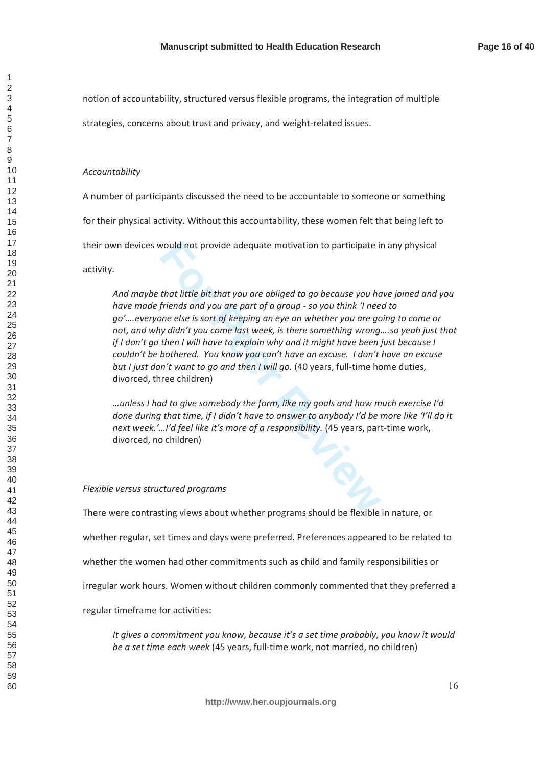notion of accountability, structured versus flexible programs, the integration of multiple

strategies, concerns about trust and privacy, and weight-related issues.

#### Accountability

A number of participants discussed the need to be accountable to someone or something for their physical activity. Without this accountability, these women felt that being left to their own devices would not provide adequate motivation to participate in any physical activity.

would not provide adequate motivation to participate in<br>
that little bit that you are obliged to go because you he<br>
friends and you are part of a group - so you think 'I nee<br>
me else is sort of keeping an eye on whether yo And maybe that little bit that you are obliged to go because you have joined and you *have made friends and you are part of a aroup - so you think 'I need to go'....everyone else is sort of keeping an eye on whether you are going to come or* not, and why didn't you come last week, is there something wrong....so yeah just that *if I don't go then I will have to explain why and it might have been just because I Couldn't be bothered. You know you can't have an excuse. I don't have an excuse but I just don't want to go and then I will go.* (40 years, full-time home duties, divorced, three children)

*...unless I had to give somebody the form, like my goals and how much exercise I'd done during that time, if I didn't have to answer to anybody I'd be more like 'I'll do it next week.'...I'd feel like it's more of a responsibility.* (45 years, part-time work, divorced, no children)

#### *Flexible versus structured programs*

There were contrasting views about whether programs should be flexible in nature, or whether regular, set times and days were preferred. Preferences appeared to be related to whether the women had other commitments such as child and family responsibilities or irregular work hours. Women without children commonly commented that they preferred a regular timeframe for activities:

*It gives a commitment you know, because it's a set time probably, you know it would be a set time each week* (45 years, full-time work, not married, no children)

 $\overline{1}$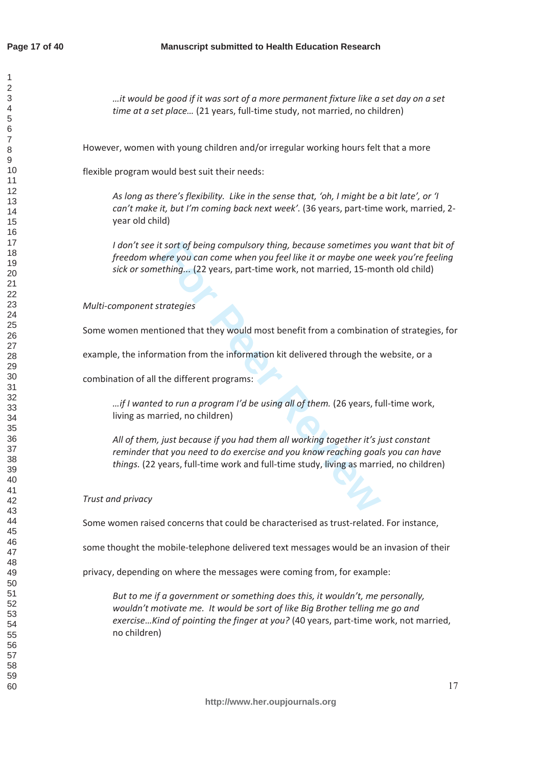$\overline{1}$ 

*dit would be good if it was sort of a more permanent fixture like a set day on a set time at a set place...* (21 years, full-time study, not married, no children)

However, women with young children and/or irregular working hours felt that a more

flexible program would best suit their needs:

*As long as there's flexibility. Like in the sense that, 'oh, I might be a bit late', or 'l can't make it, but I'm coming back next week'.* (36 years, part-time work, married, 2year old child)

*For the soft of being compulsory thing, because sometimes yeare you can come when you feel like it or maybe one wething... (22 years, part-time work, not married, 15-motrologies thing... (22 years, part-time work, not mar /* don't see it sort of being compulsory thing, because sometimes you want that bit of *freedom where you can come when you feel like it or maybe one week you're feeling sick or something...* (22 years, part-time work, not married, 15-month old child)

*Multi-component strategies* 

Some women mentioned that they would most benefit from a combination of strategies, for

example, the information from the information kit delivered through the website, or a

combination of all the different programs:

*dif I wanted to run a program I'd be using all of them.* (26 years, full-time work, living as married, no children)

*All of them, just because if you had them all working together it's just constant* reminder that you need to do exercise and you know reaching goals you can have *things.* (22 years, full-time work and full-time study, living as married, no children)

# *Trust and privacy*

Some women raised concerns that could be characterised as trust-related. For instance,

some thought the mobile-telephone delivered text messages would be an invasion of their

privacy, depending on where the messages were coming from, for example:

*But to me if a government or something does this, it wouldn't, me personally,* wouldn't motivate me. It would be sort of like Big Brother telling me go and exercise...Kind of pointing the finger at you? (40 years, part-time work, not married, no children)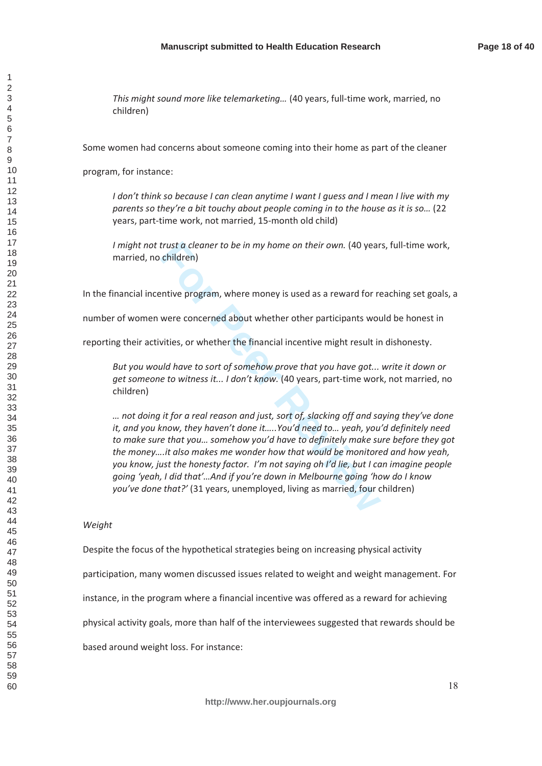*This might sound more like telemarketing...* (40 years, full-time work, married, no children)

Some women had concerns about someone coming into their home as part of the cleaner

program, for instance:

*I* don't think so because *I* can clean anytime *I* want *I* quess and *I* mean *I live with my parents so they're a bit touchy about people coming in to the house as it is so...* (22 years, part-time work, not married, 15-month old child)

*I* might not trust *a* cleaner to be in my home on their own. (40 years, full-time work, married, no children)

In the financial incentive program, where money is used as a reward for reaching set goals, a

number of women were concerned about whether other participants would be honest in

reporting their activities, or whether the financial incentive might result in dishonesty.

*But you would have to sort of somehow prove that you have got... write it down or get someone to witness it... I don't know.* (40 years, part-time work, not married, no children)

trust a cleaner to be in my home on their own. (40 year<br>children)<br>entive program, where money is used as a reward for re<br>were concerned about whether other participants wou<br>wities, or whether the financial incentive might *a* not doing it for a real reason and just, sort of, slacking off and saying they've done *it, and you know, they haven't done it.....You'd need to... yeah, you'd definitely need to make sure that you... somehow you'd have to definitely make sure before they got* the money....it also makes me wonder how that would be monitored and how yeah, *VOU know, just the honesty factor. I'm not saving oh I'd lie, but I can imagine people going 'yeah, I did that'...And if you're down in Melbourne going 'how do I know you've done that?'* (31 years, unemployed, living as married, four children)

#### Weight

Despite the focus of the hypothetical strategies being on increasing physical activity

participation, many women discussed issues related to weight and weight management. For

instance, in the program where a financial incentive was offered as a reward for achieving

physical activity goals, more than half of the interviewees suggested that rewards should be

based around weight loss. For instance:

 $\overline{1}$  $\mathfrak{p}$  $\overline{4}$  $\overline{7}$  $\mathbf{Q}$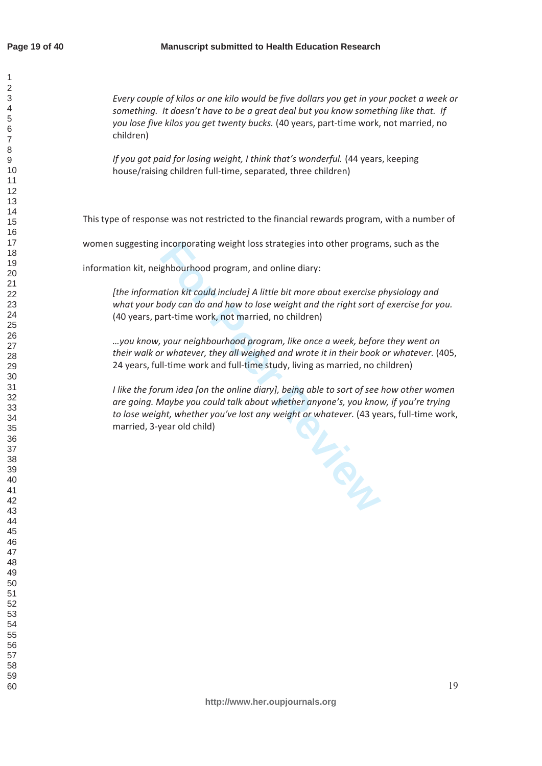$\overline{1}$  $\mathfrak{p}$  $\overline{4}$  $\overline{7}$ 

# **Manuscript submitted to Health Education Research**

*<i>Every couple of kilos or one kilo would be five dollars you get in your pocket a week or something. It doesn't have to be a great deal but you know something like that. If* you lose five kilos you get twenty bucks. (40 years, part-time work, not married, no children)

*If you got paid for losing weight, I think that's wonderful.* (44 years, keeping house/raising children full-time, separated, three children)

This type of response was not restricted to the financial rewards program, with a number of

women suggesting incorporating weight loss strategies into other programs, such as the

information kit, neighbourhood program, and online diary:

*[the information kit could include] A little bit more about exercise physiology and* what your body can do and how to lose weight and the right sort of exercise for you. (40 years, part-time work, not married, no children)

 $\ldots$ you know, your neighbourhood program, like once a week, before they went on their walk or whatever, they all weighed and wrote it in their book or whatever. (405, 24 years, full-time work and full-time study, living as married, no children)

*I* like the forum idea [on the online diary], being able to sort of see how other women are going. Maybe you could talk about whether anyone's, you know, if you're trying *to lose weight, whether you've lost any weight or whatever.* (43 years, full-time work, married, 3-year old child)

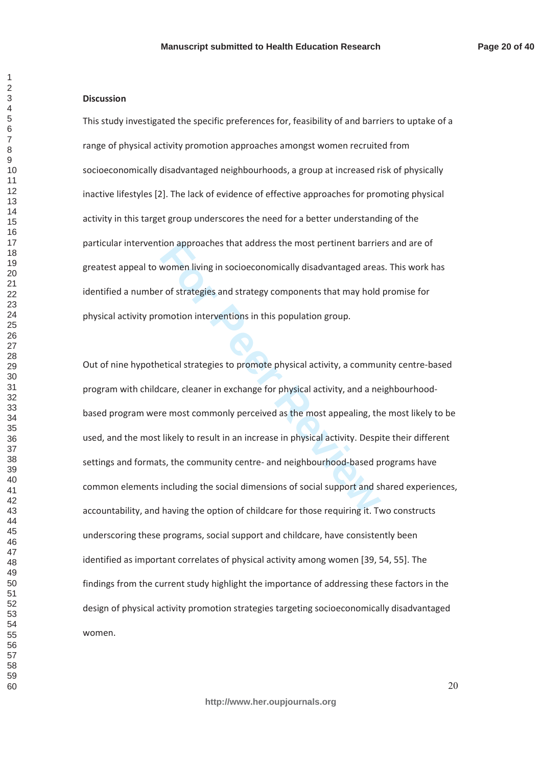#### **Discussion**

This study investigated the specific preferences for, feasibility of and barriers to uptake of a range of physical activity promotion approaches amongst women recruited from socioeconomically disadvantaged neighbourhoods, a group at increased risk of physically inactive lifestyles [2]. The lack of evidence of effective approaches for promoting physical activity in this target group underscores the need for a better understanding of the particular intervention approaches that address the most pertinent barriers and are of greatest appeal to women living in socioeconomically disadvantaged areas. This work has identified a number of strategies and strategy components that may hold promise for physical activity promotion interventions in this population group.

ion approaches that address the most pertinent barrie<br>
women living in socioeconomically disadvantaged area<br>
r of strategies and strategy components that may hold<br>
pmotion interventions in this population group.<br>
etical st Out of nine hypothetical strategies to promote physical activity, a community centre-based program with childcare, cleaner in exchange for physical activity, and a neighbourhoodbased program were most commonly perceived as the most appealing, the most likely to be used, and the most likely to result in an increase in physical activity. Despite their different settings and formats, the community centre- and neighbourhood-based programs have common elements including the social dimensions of social support and shared experiences, accountability, and having the option of childcare for those requiring it. Two constructs underscoring these programs, social support and childcare, have consistently been identified as important correlates of physical activity among women [39, 54, 55]. The findings from the current study highlight the importance of addressing these factors in the design of physical activity promotion strategies targeting socioeconomically disadvantaged women.

 $\overline{1}$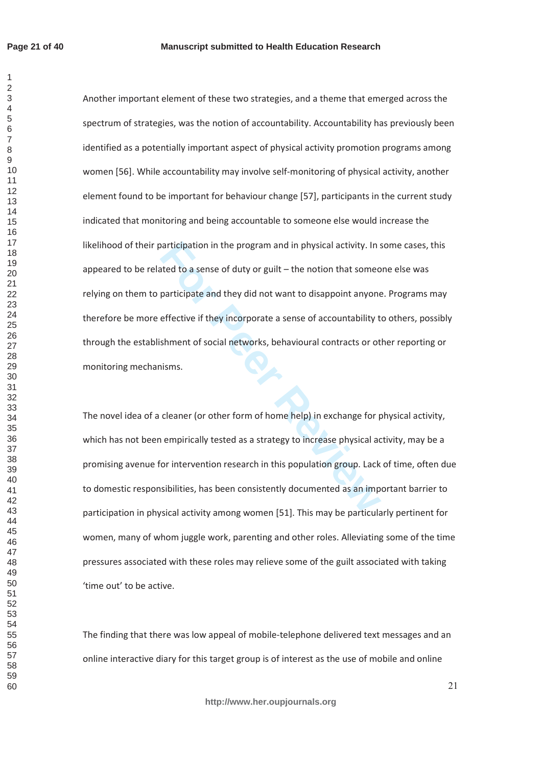$\mathbf{1}$  $\overline{2}$ 

participation in the program and in physical activity. In stand to a sense of duty or guilt – the notion that some<br>participate and they did not want to disappoint anyone<br>effective if they incorporate a sense of accountabil Another important element of these two strategies, and a theme that emerged across the spectrum of strategies, was the notion of accountability. Accountability has previously been identified as a potentially important aspect of physical activity promotion programs among women [56]. While accountability may involve self-monitoring of physical activity, another element found to be important for behaviour change [57], participants in the current study indicated that monitoring and being accountable to someone else would increase the likelihood of their participation in the program and in physical activity. In some cases, this appeared to be related to a sense of duty or guilt – the notion that someone else was relying on them to participate and they did not want to disappoint anyone. Programs may therefore be more effective if they incorporate a sense of accountability to others, possibly through the establishment of social networks, behavioural contracts or other reporting or monitoring mechanisms.

The novel idea of a cleaner (or other form of home help) in exchange for physical activity, which has not been empirically tested as a strategy to increase physical activity, may be a promising avenue for intervention research in this population group. Lack of time, often due to domestic responsibilities, has been consistently documented as an important barrier to participation in physical activity among women [51]. This may be particularly pertinent for women, many of whom juggle work, parenting and other roles. Alleviating some of the time pressures associated with these roles may relieve some of the guilt associated with taking 'time out' to be active.

The finding that there was low appeal of mobile-telephone delivered text messages and an online interactive diary for this target group is of interest as the use of mobile and online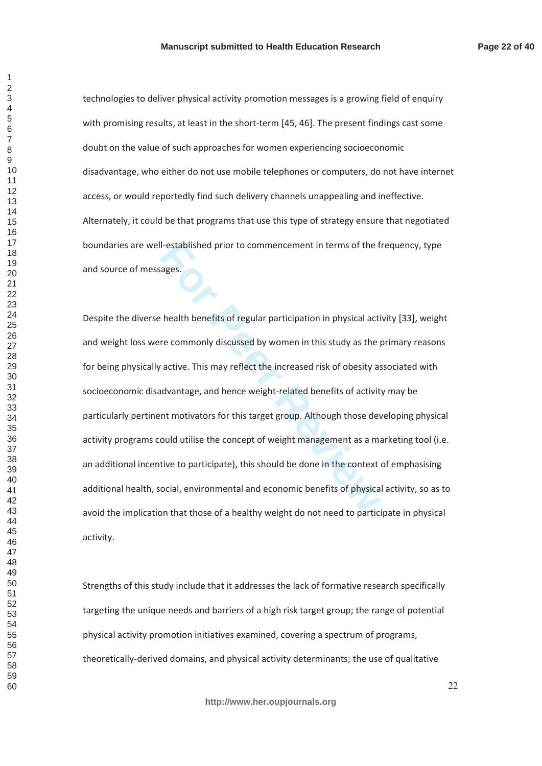technologies to deliver physical activity promotion messages is a growing field of enquiry with promising results, at least in the short-term [45, 46]. The present findings cast some doubt on the value of such approaches for women experiencing socioeconomic disadvantage, who either do not use mobile telephones or computers, do not have internet access, or would reportedly find such delivery channels unappealing and ineffective. Alternately, it could be that programs that use this type of strategy ensure that negotiated boundaries are well-established prior to commencement in terms of the frequency, type and source of messages.

I-established prior to commencement in terms of the f<br>ages.<br>**For Peer Review Set Alter Terms**<br>**For Peer Reviews Alter Terms**<br>**For Peer Commonly discussed by women in this study as the practive. This may reflect the increas** Despite the diverse health benefits of regular participation in physical activity [33], weight and weight loss were commonly discussed by women in this study as the primary reasons for being physically active. This may reflect the increased risk of obesity associated with socioeconomic disadvantage, and hence weight-related benefits of activity may be particularly pertinent motivators for this target group. Although those developing physical activity programs could utilise the concept of weight management as a marketing tool (i.e. an additional incentive to participate), this should be done in the context of emphasising additional health, social, environmental and economic benefits of physical activity, so as to avoid the implication that those of a healthy weight do not need to participate in physical activity.

Strengths of this study include that it addresses the lack of formative research specifically targeting the unique needs and barriers of a high risk target group; the range of potential physical activity promotion initiatives examined, covering a spectrum of programs, theoretically-derived domains, and physical activity determinants; the use of qualitative

 $\mathbf{1}$  $\overline{2}$  $\overline{4}$  $\overline{7}$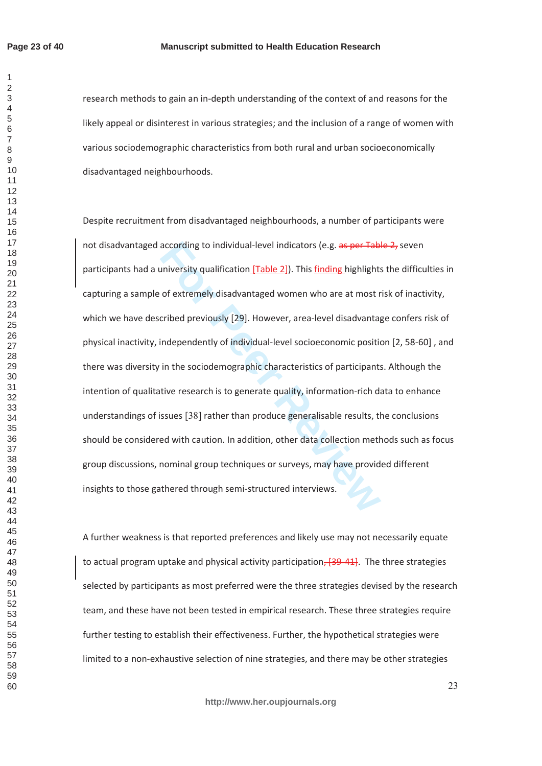$\mathbf{1}$  $\overline{2}$  $\overline{\mathcal{L}}$  $\overline{7}$ 

## **Manuscript submitted to Health Education Research**

research methods to gain an in-depth understanding of the context of and reasons for the likely appeal or disinterest in various strategies; and the inclusion of a range of women with various sociodemographic characteristics from both rural and urban socioeconomically disadvantaged neighbourhoods.

according to individual-level indicators (e.g. as per Tab-<br>niversity qualification <u>[Table 2]</u>). This <u>finding highlight:</u><br>of extremely disadvantaged women who are at most r<br>cribed previously [29]. However, area-level disa Despite recruitment from disadvantaged neighbourhoods, a number of participants were not disadvantaged according to individual-level indicators (e.g. as per Table 2, seven participants had a university qualification [Table 2]). This finding highlights the difficulties in capturing a sample of extremely disadvantaged women who are at most risk of inactivity, which we have described previously [29]. However, area-level disadvantage confers risk of physical inactivity, independently of individual-level socioeconomic position [2, 58-60], and there was diversity in the sociodemographic characteristics of participants. Although the intention of qualitative research is to generate quality, information-rich data to enhance understandings of issues [38] rather than produce generalisable results, the conclusions should be considered with caution. In addition, other data collection methods such as focus group discussions, nominal group techniques or surveys, may have provided different insights to those gathered through semi-structured interviews.

A further weakness is that reported preferences and likely use may not necessarily equate to actual program uptake and physical activity participation, [39-41]. The three strategies selected by participants as most preferred were the three strategies devised by the research team, and these have not been tested in empirical research. These three strategies require further testing to establish their effectiveness. Further, the hypothetical strategies were limited to a non-exhaustive selection of nine strategies, and there may be other strategies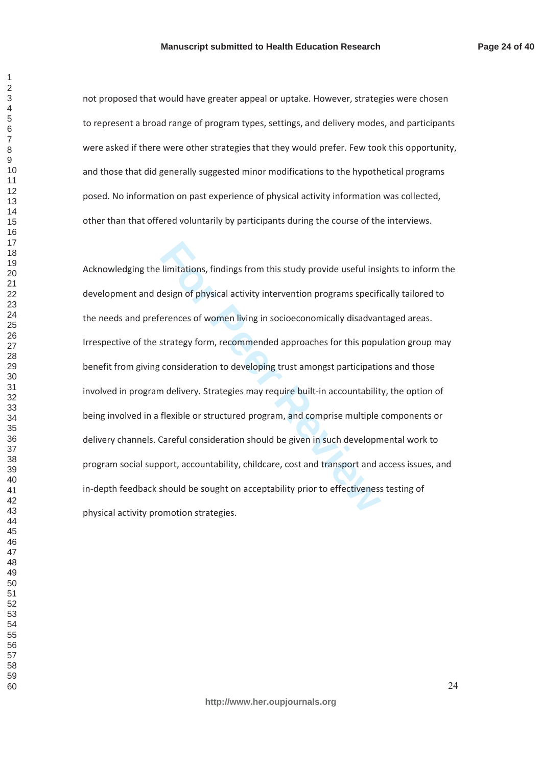**Page 24 of 40**

not proposed that would have greater appeal or uptake. However, strategies were chosen to represent a broad range of program types, settings, and delivery modes, and participants were asked if there were other strategies that they would prefer. Few took this opportunity, and those that did generally suggested minor modifications to the hypothetical programs posed. No information on past experience of physical activity information was collected, other than that offered voluntarily by participants during the course of the interviews.

limitations, findings from this study provide useful insidesign of physical activity intervention programs specifierences of women living in socioeconomically disadvar<br>strategy form, recommended approaches for this popu<br>co Acknowledging the limitations, findings from this study provide useful insights to inform the development and design of physical activity intervention programs specifically tailored to the needs and preferences of women living in socioeconomically disadvantaged areas. Irrespective of the strategy form, recommended approaches for this population group may benefit from giving consideration to developing trust amongst participations and those involved in program delivery. Strategies may require built-in accountability, the option of being involved in a flexible or structured program, and comprise multiple components or delivery channels. Careful consideration should be given in such developmental work to program social support, accountability, childcare, cost and transport and access issues, and in-depth feedback should be sought on acceptability prior to effectiveness testing of physical activity promotion strategies.

 $\mathbf{1}$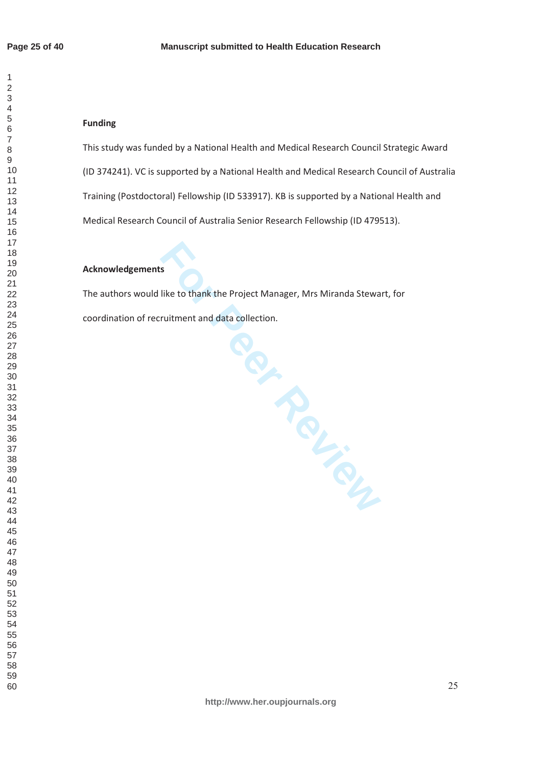$\mathbf{1}$  $\overline{2}$  $\overline{4}$  $\overline{7}$ 

# **Funding**

This study was funded by a National Health and Medical Research Council Strategic Award (ID 374241). VC is supported by a National Health and Medical Research Council of Australia Training (Postdoctoral) Fellowship (ID 533917). KB is supported by a National Health and Medical Research Council of Australia Senior Research Fellowship (ID 479513).

# **Acknowledgements**

The authors would like to thank the Project Manager, Mrs Miranda Stewart, for coordination of recruitment and data collection.

**http://www.her.oupjournals.org**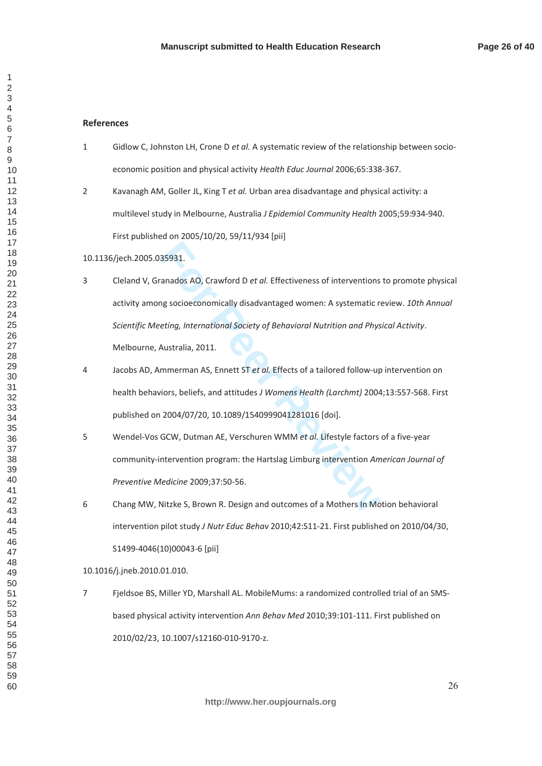## **References**

- 1 Gidlow C, Johnston LH, Crone D et al. A systematic review of the relationship between socioeconomic position and physical activity Health Educ Journal 2006:65:338-367.
- 2 Kavanagh AM, Goller JL, King T et al. Urban area disadvantage and physical activity: a multilevel study in Melbourne, Australia J Epidemiol Community Health 2005;59:934-940. First published on 2005/10/20, 59/11/934 [pii]
- 10.1136/jech.2005.035931.
- 35931.<br>
Tanados AO, Crawford D *et al.* Effectiveness of interventions<br>
Ing socioeconomically disadvantaged women: A systematic r<br> *Eting, International Society of Behavioral Nutrition and Phys*<br>
Australia, 2011.<br>
Immerman 3 Cleland V, Granados AO, Crawford D et al. Effectiveness of interventions to promote physical activity among socioeconomically disadvantaged women: A systematic review. 10th Annual Scientific Meeting, International Society of Behavioral Nutrition and Physical Activity. Melbourne, Australia, 2011.
- 4 Jacobs AD, Ammerman AS, Ennett ST et al. Effects of a tailored follow-up intervention on health behaviors, beliefs, and attitudes J Womens Health (Larchmt) 2004;13:557-568. First published on 2004/07/20, 10.1089/1540999041281016 [doi].
- 5 Wendel-Vos GCW. Dutman AE. Verschuren WMM et al. Lifestyle factors of a five-vear community-intervention program: the Hartslag Limburg intervention American Journal of Preventive Medicine 2009;37:50-56.
- 6 Chang MW. Nitzke S. Brown R. Design and outcomes of a Mothers In Motion behavioral intervention pilot study J Nutr Educ Behav 2010;42:S11-21. First published on 2010/04/30,  $S1499 - 4046(10)00043 - 6$  [pii]

### 10.1016/j.jneb.2010.01.010.

7 Fieldsoe BS. Miller YD. Marshall AL. MobileMums: a randomized controlled trial of an SMSbased physical activity intervention Ann Behav Med 2010;39:101-111. First published on 2010/02/23, 10.1007/s12160-010-9170-z.

 $\mathbf{1}$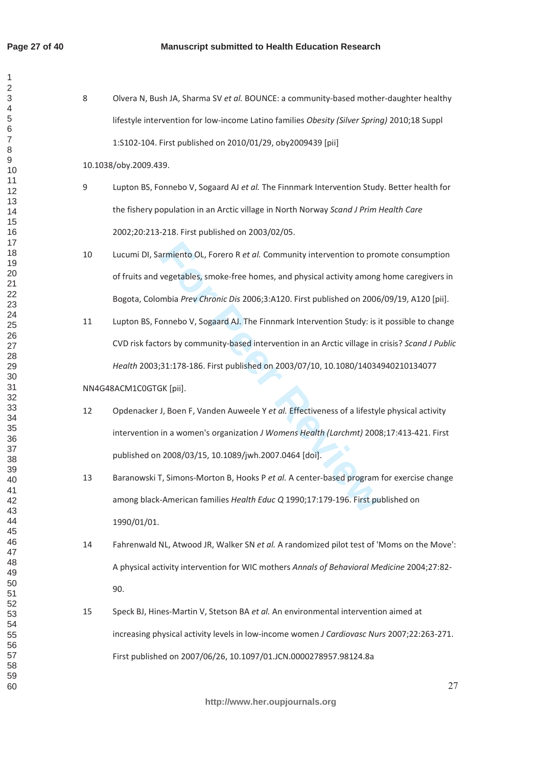$\mathbf{1}$  $\overline{2}$  $\overline{\mathcal{L}}$  $\overline{7}$ 

- 8 Olvera N, Bush JA, Sharma SV et al. BOUNCE: a community-based mother-daughter healthy lifestyle intervention for low-income Latino families Obesity (Silver Spring) 2010;18 Suppl 1:S102-104. First published on 2010/01/29, oby2009439 [pii] 10.1038/obv.2009.439.
- 9 Lupton BS, Fonnebo V, Sogaard AJ et al. The Finnmark Intervention Study. Better health for the fishery population in an Arctic village in North Norway Scand J Prim Health Care 2002;20:213-218. First published on 2003/02/05.
- 10 Lucumi DI, Sarmiento OL, Forero R et al. Community intervention to promote consumption of fruits and vegetables, smoke-free homes, and physical activity among home caregivers in Bogota, Colombia Prev Chronic Dis 2006;3:A120. First published on 2006/09/19, A120 [pii].
- armiento OL, Forero R *et al.* Community intervention to pro<br>
vegetables, smoke-free homes, and physical activity among<br>
mbia *Prev Chronic Dis* 2006;3:A120. First published on 2006<br>
onnebo V, Sogaard AJ. The Finnmark Inte 11 Lupton BS, Fonnebo V, Sogaard AJ. The Finnmark Intervention Study: is it possible to change CVD risk factors by community-based intervention in an Arctic village in crisis? Scand J Public Health 2003;31:178-186. First published on 2003/07/10, 10.1080/14034940210134077
- NN4G48ACM1C0GTGK [pii].
- 12 Opdenacker J, Boen F, Vanden Auweele Y et al. Effectiveness of a lifestyle physical activity intervention in a women's organization J Womens Health (Larchmt) 2008;17:413-421. First published on 2008/03/15, 10.1089/jwh.2007.0464 [doi].
- 13 Baranowski T, Simons-Morton B, Hooks P et al. A center-based program for exercise change among black-American families Health Educ Q 1990;17:179-196. First published on 1990/01/01.
- 14 Fahrenwald NL, Atwood JR, Walker SN et al. A randomized pilot test of 'Moms on the Move': A physical activity intervention for WIC mothers Annals of Behavioral Medicine 2004;27:82-90.
- 15 Speck BJ, Hines-Martin V, Stetson BA et al. An environmental intervention aimed at increasing physical activity levels in low-income women J Cardiovasc Nurs 2007;22:263-271. First published on 2007/06/26, 10.1097/01.JCN.0000278957.98124.8a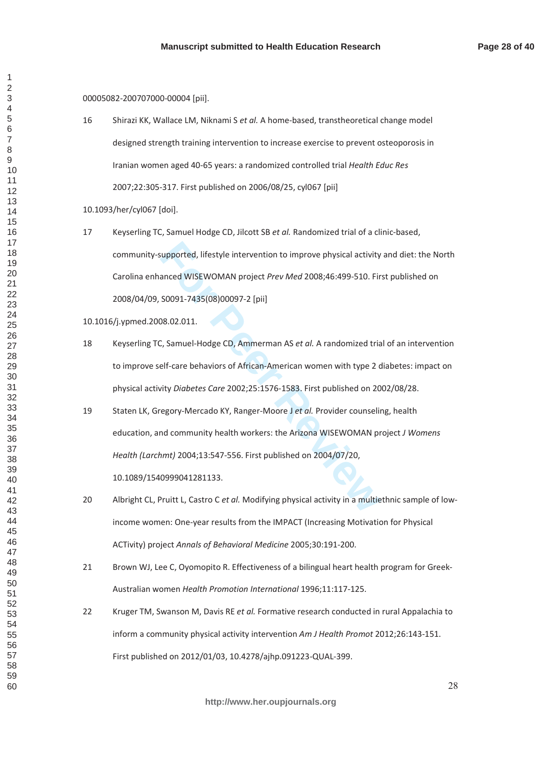$\mathbf{1}$ 

00005082-200707000-00004 [pii].

16 Shirazi KK, Wallace LM, Niknami S et al. A home-based, transtheoretical change model designed strength training intervention to increase exercise to prevent osteoporosis in Iranian women aged 40-65 years: a randomized controlled trial Health Educ Res 2007;22:305-317. First published on 2006/08/25, cyl067 [pii]

10.1093/her/cyl067 [doi].

supported, lifestyle intervention to improve physical activity<br>anced WISEWOMAN project *Prev Med* 2008;46:499-510. Fir<br>50091-7435(08)00097-2 [pii]<br>08.02.011.<br>C, Samuel-Hodge CD, Ammerman AS *et al.* A randomized tria<br>elf-c 17 Keyserling TC, Samuel Hodge CD, Jilcott SB et al. Randomized trial of a clinic-based, community-supported, lifestyle intervention to improve physical activity and diet: the North Carolina enhanced WISEWOMAN project Prev Med 2008;46:499-510. First published on 2008/04/09, S0091-7435(08)00097-2 [pii]

10.1016/j.ypmed.2008.02.011.

10.1089/1540999041281133.

- 18 Keyserling TC, Samuel-Hodge CD, Ammerman AS *et al.* A randomized trial of an intervention to improve self-care behaviors of African-American women with type 2 diabetes: impact on physical activity Diabetes Care 2002;25:1576-1583. First published on 2002/08/28.
- 19 Staten LK, Gregory-Mercado KY, Ranger-Moore J et al. Provider counseling, health education, and community health workers: the Arizona WISEWOMAN project J Womens *Health (Larchmt)* 2004;13:547-556. First published on 2004/07/20,

20 Albright CL, Pruitt L, Castro C et al. Modifying physical activity in a multiethnic sample of lowincome women: One-year results from the IMPACT (Increasing Motivation for Physical

ACTivity) project Annals of Behavioral Medicine 2005;30:191-200.

- 21 Brown WJ, Lee C, Oyomopito R. Effectiveness of a bilingual heart health program for Greek-Australian women Health Promotion International 1996;11:117-125.
- 22 Kruger TM, Swanson M, Davis RE et al. Formative research conducted in rural Appalachia to inform a community physical activity intervention Am J Health Promot 2012;26:143-151. First published on 2012/01/03, 10.4278/ajhp.091223-QUAL-399.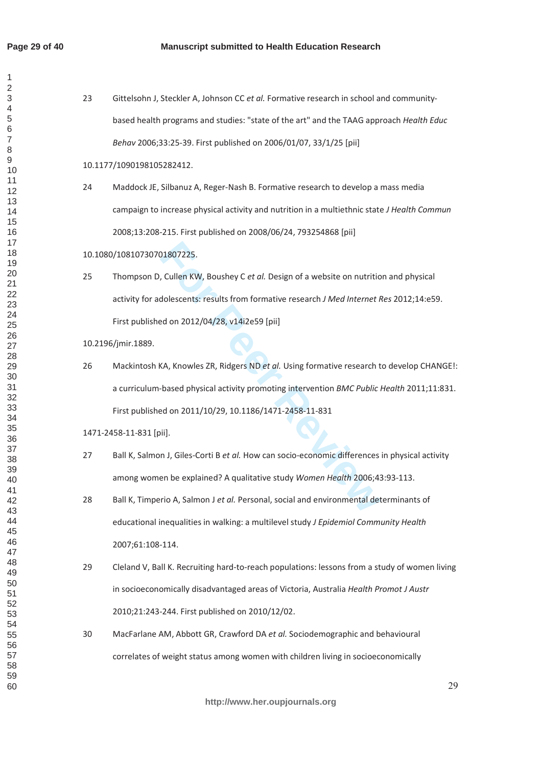$\mathbf{1}$  $\overline{2}$  $\overline{4}$  $\overline{6}$  $\overline{7}$  $\mathsf g$ 

| 23 | Gittelsohn J, Steckler A, Johnson CC et al. Formative research in school and community-        |
|----|------------------------------------------------------------------------------------------------|
|    | based health programs and studies: "state of the art" and the TAAG approach Health Educ        |
|    | Behav 2006;33:25-39. First published on 2006/01/07, 33/1/25 [pii]                              |
|    | 10.1177/1090198105282412.                                                                      |
| 24 | Maddock JE, Silbanuz A, Reger-Nash B. Formative research to develop a mass media               |
|    | campaign to increase physical activity and nutrition in a multiethnic state J Health Commun    |
|    | 2008;13:208-215. First published on 2008/06/24, 793254868 [pii]                                |
|    | 10.1080/10810730701807225.                                                                     |
| 25 | Thompson D, Cullen KW, Boushey C et al. Design of a website on nutrition and physical          |
|    | activity for adolescents: results from formative research J Med Internet Res 2012;14:e59.      |
|    | First published on 2012/04/28, v14i2e59 [pii]                                                  |
|    | 10.2196/jmir.1889.                                                                             |
| 26 | Mackintosh KA, Knowles ZR, Ridgers ND et al. Using formative research to develop CHANGE!:      |
|    | a curriculum-based physical activity promoting intervention BMC Public Health 2011;11:831.     |
|    | First published on 2011/10/29, 10.1186/1471-2458-11-831                                        |
|    | 1471-2458-11-831 [pii].                                                                        |
| 27 | Ball K, Salmon J, Giles-Corti B et al. How can socio-economic differences in physical activity |
|    | among women be explained? A qualitative study Women Health 2006;43:93-113.                     |
| 28 | Ball K, Timperio A, Salmon J et al. Personal, social and environmental determinants of         |
|    | educational inequalities in walking: a multilevel study J Epidemiol Community Health           |
|    | 2007;61:108-114.                                                                               |
| 29 | Cleland V, Ball K. Recruiting hard-to-reach populations: lessons from a study of women living  |
|    | in socioeconomically disadvantaged areas of Victoria, Australia Health Promot J Austr          |
|    | 2010;21:243-244. First published on 2010/12/02.                                                |
| 30 | MacFarlane AM, Abbott GR, Crawford DA et al. Sociodemographic and behavioural                  |
|    | correlates of weight status among women with children living in socioeconomically              |
|    |                                                                                                |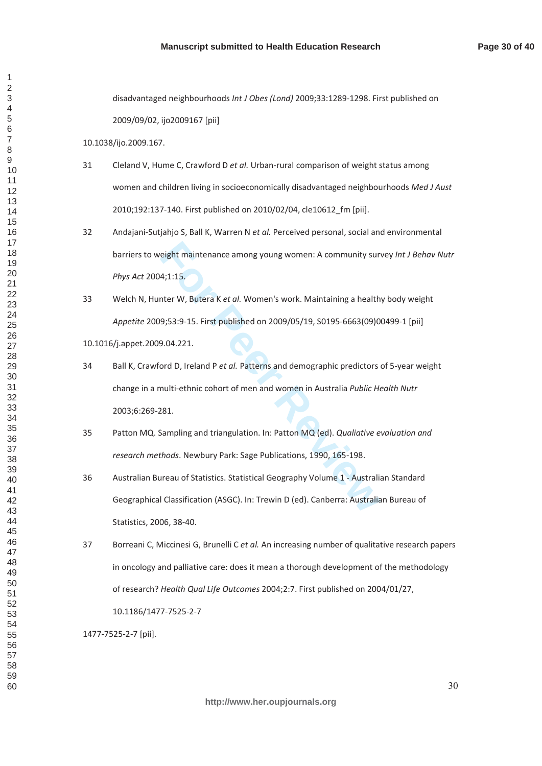disadvantaged neighbourhoods Int J Obes (Lond) 2009;33:1289-1298. First published on

2009/09/02, ijo2009167 [pii]

10.1038/ijo.2009.167.

- 31 Cleland V, Hume C, Crawford D et al. Urban-rural comparison of weight status among women and children living in socioeconomically disadvantaged neighbourhoods Med J Aust 2010;192:137-140. First published on 2010/02/04, cle10612\_fm [pii].
- 32 Andajani-Sutjahjo S, Ball K, Warren N et al. Perceived personal, social and environmental barriers to weight maintenance among young women: A community survey Int J Behav Nutr Phys Act 2004;1:15.
- 33 Welch N, Hunter W, Butera K et al. Women's work. Maintaining a healthy body weight *Appetite* 2009;53:9-15. First published on 2009/05/19, S0195-6663(09)00499-1 [pii]

10.1016/j.appet.2009.04.221.

- eight maintenance among young women: A community sur<br>4;1:15.<br>4:1:15.<br>**For Peer Review Act All Women's work. Maintaining a health**<br>9;53:9-15. First published on 2009/05/19, S0195-6663(09)0<br>9.04.221.<br>por D, Ireland P *et al.* 34 Ball K, Crawford D, Ireland P et al. Patterns and demographic predictors of 5-year weight change in a multi-ethnic cohort of men and women in Australia Public Health Nutr 2003;6:269-281.
- 35 Patton MQ. Sampling and triangulation. In: Patton MQ (ed). Qualiative evaluation and research methods. Newbury Park: Sage Publications, 1990, 165-198.
- 36 Australian Bureau of Statistics. Statistical Geography Volume 1 Australian Standard Geographical Classification (ASGC). In: Trewin D (ed). Canberra: Australian Bureau of Statistics, 2006, 38-40.
- 37 Borreani C, Miccinesi G, Brunelli C et al. An increasing number of qualitative research papers in oncology and palliative care: does it mean a thorough development of the methodology of research? Health Qual Life Outcomes 2004;2:7. First published on 2004/01/27, 10.1186/1477-7525-2-7

1477-7525-2-7 [pii].

 $\mathbf{1}$  $\overline{2}$  $\overline{4}$  $\overline{7}$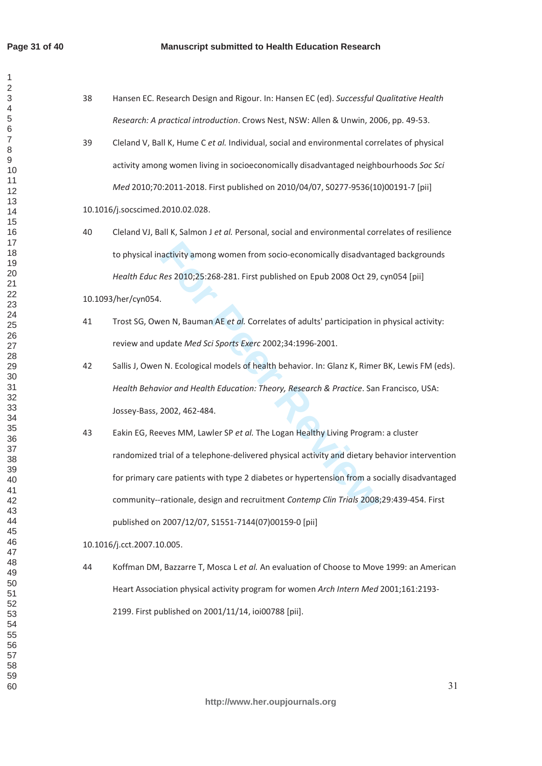$\mathbf{1}$  $\overline{2}$  $\overline{4}$  $\overline{6}$  $\overline{7}$  $\mathsf g$ 

| 38 | Hansen EC. Research Design and Rigour. In: Hansen EC (ed). Successful Qualitative Health        |
|----|-------------------------------------------------------------------------------------------------|
|    | Research: A practical introduction. Crows Nest, NSW: Allen & Unwin, 2006, pp. 49-53.            |
| 39 | Cleland V, Ball K, Hume C et al. Individual, social and environmental correlates of physical    |
|    | activity among women living in socioeconomically disadvantaged neighbourhoods Soc Sci           |
|    | Med 2010;70:2011-2018. First published on 2010/04/07, S0277-9536(10)00191-7 [pii]               |
|    | 10.1016/j.socscimed.2010.02.028.                                                                |
| 40 | Cleland VJ, Ball K, Salmon J et al. Personal, social and environmental correlates of resilience |
|    | to physical inactivity among women from socio-economically disadvantaged backgrounds            |
|    | Health Educ Res 2010;25:268-281. First published on Epub 2008 Oct 29, cyn054 [pii]              |
|    | 10.1093/her/cyn054.                                                                             |
| 41 | Trost SG, Owen N, Bauman AE et al. Correlates of adults' participation in physical activity:    |
|    | review and update Med Sci Sports Exerc 2002;34:1996-2001.                                       |
| 42 | Sallis J, Owen N. Ecological models of health behavior. In: Glanz K, Rimer BK, Lewis FM (eds).  |
|    | Health Behavior and Health Education: Theory, Research & Practice. San Francisco, USA:          |
|    | Jossey-Bass, 2002, 462-484.                                                                     |
| 43 | Eakin EG, Reeves MM, Lawler SP et al. The Logan Healthy Living Program: a cluster               |
|    | randomized trial of a telephone-delivered physical activity and dietary behavior intervention   |
|    | for primary care patients with type 2 diabetes or hypertension from a socially disadvantaged    |
|    | community--rationale, design and recruitment Contemp Clin Trials 2008;29:439-454. First         |
|    | published on 2007/12/07, S1551-7144(07)00159-0 [pii]                                            |
|    | 10.1016/j.cct.2007.10.005.                                                                      |
| 44 | Koffman DM, Bazzarre T, Mosca L et al. An evaluation of Choose to Move 1999: an American        |
|    | Heart Association physical activity program for women Arch Intern Med 2001;161:2193-            |
|    | 2199. First published on 2001/11/14, ioi00788 [pii].                                            |
|    |                                                                                                 |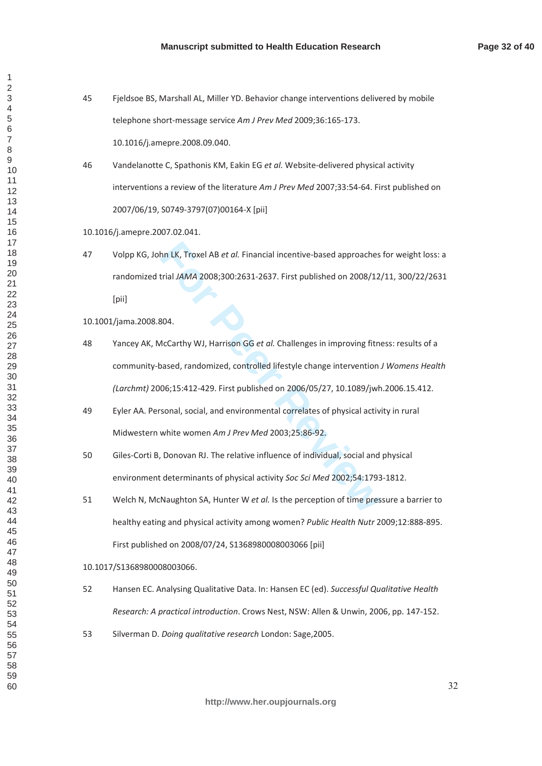- 45 Fieldsoe BS, Marshall AL, Miller YD. Behavior change interventions delivered by mobile telephone short-message service Am J Prev Med 2009;36:165-173. 10.1016/j.amepre.2008.09.040.
- 46 Vandelanotte C. Spathonis KM. Eakin EG et al. Website-delivered physical activity interventions a review of the literature Am J Prev Med 2007;33:54-64. First published on 2007/06/19, S0749-3797(07)00164-X [pii]
- 10.1016/j.amepre.2007.02.041.
- 47 Volpp KG, John LK, Troxel AB *et al.* Financial incentive-based approaches for weight loss: a randomized trial JAMA 2008;300:2631-2637. First published on 2008/12/11, 300/22/2631 [pii]

10.1001/jama.2008.804.

- hn LK, Troxel AB *et al.* Financial incentive-based approaches<br>trial JAMA 2008;300:2631-2637. First published on 2008/12<br>304.<br>AcCarthy WJ, Harrison GG *et al.* Challenges in improving fith<br>axeed, randomized, controlled lif 48 Yancey AK, McCarthy WJ, Harrison GG et al. Challenges in improving fitness: results of a community-based, randomized, controlled lifestyle change intervention J Womens Health *(Larchmt)* 2006;15:412-429. First published on 2006/05/27, 10.1089/jwh.2006.15.412.
- 49 Eyler AA. Personal, social, and environmental correlates of physical activity in rural Midwestern white women Am J Prev Med 2003;25:86-92.
- 50 Giles-Corti Β, Donovan RJ. The relative influence of individual, social and physical environment determinants of physical activity Soc Sci Med 2002;54:1793-1812.
- 51 Welch N, McNaughton SA, Hunter W et al. Is the perception of time pressure a barrier to healthy eating and physical activity among women? Public Health Nutr 2009;12:888-895. First published on 2008/07/24, \$1368980008003066 [pii]

### 10.1017/S1368980008003066.

- 52 Hansen EC. Analysing Qualitative Data. In: Hansen EC (ed). Successful Qualitative Health *Research: A practical introduction.* Crows Nest, NSW: Allen & Unwin, 2006, pp. 147-152.
- 53 Silverman D. *Doing qualitative research* London: Sage, 2005.

 $\mathbf{1}$  $\overline{2}$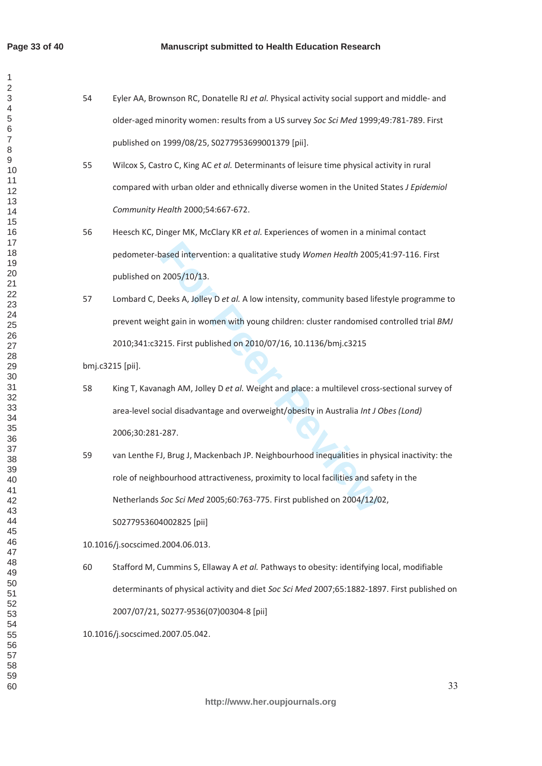$\mathbf{1}$  $\overline{2}$  $\overline{4}$  $\overline{7}$ 

- 54 Eyler AA, Brownson RC, Donatelle RJ et al. Physical activity social support and middle- and older-aged minority women: results from a US survey Soc Sci Med 1999;49:781-789. First published on 1999/08/25, S0277953699001379 [pii].
- 55 Wilcox S. Castro C. King AC *et al.* Determinants of leisure time physical activity in rural compared with urban older and ethnically diverse women in the United States *J Epidemiol Community Health 2000;54:667-672.*
- 56 Heesch KC, Dinger MK, McClary KR et al. Experiences of women in a minimal contact pedometer-based intervention: a qualitative study Women Health 2005;41:97-116. First published on 2005/10/13.
- 57 Lombard C, Deeks A, Jolley D et al. A low intensity, community based lifestyle programme to prevent weight gain in women with young children: cluster randomised controlled trial *BMJ* 2010;341:c3215. First published on 2010/07/16, 10.1136/bmj.c3215

bmj.c3215 [pii].

- 58 King T, Kavanagh AM, Jolley D et al. Weight and place: a multilevel cross-sectional survey of area-level social disadvantage and overweight/obesity in Australia Int J Obes (Lond) 2006;30:281-287.
- based intervention: a qualitative study *Women Health* 2005;<br>
2005/10/13.<br>
Deeks A, Jolley D *et al.* A low intensity, community based life<br>
tht gain in women with young children: cluster randomised<br>
215. First published o 59 van Lenthe FJ, Brug J, Mackenbach JP. Neighbourhood inequalities in physical inactivity: the role of neighbourhood attractiveness, proximity to local facilities and safety in the Netherlands Soc Sci Med 2005;60:763-775. First published on 2004/12/02,

S0277953604002825 [pii]

10.1016/j.socscimed.2004.06.013.

60 Stafford M, Cummins S, Ellaway A *et al.* Pathways to obesity: identifying local, modifiable determinants of physical activity and diet Soc Sci Med 2007;65:1882-1897. First published on 2007/07/21, S0277-9536(07)00304-8 [pii]

10.1016/j.socscimed.2007.05.042.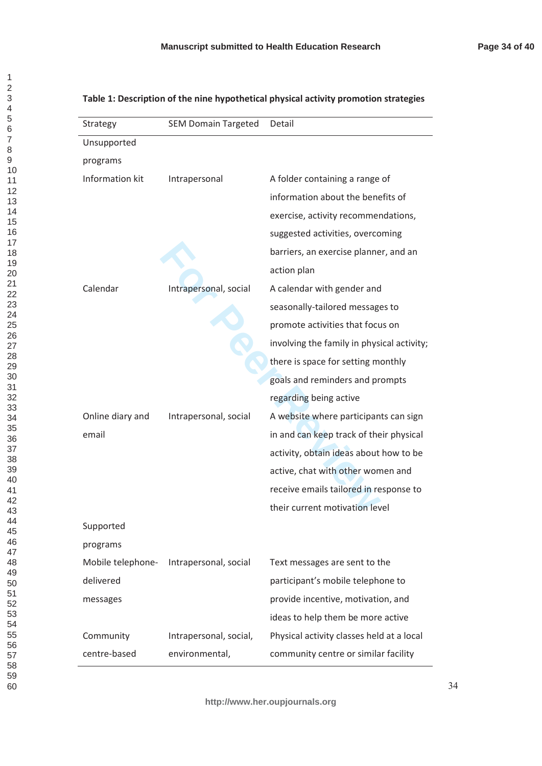| Strategy          | <b>SEM Domain Targeted</b> | Detail                                     |
|-------------------|----------------------------|--------------------------------------------|
| Unsupported       |                            |                                            |
| programs          |                            |                                            |
| Information kit   | Intrapersonal              | A folder containing a range of             |
|                   |                            | information about the benefits of          |
|                   |                            | exercise, activity recommendations,        |
|                   |                            | suggested activities, overcoming           |
|                   |                            | barriers, an exercise planner, and an      |
|                   |                            | action plan                                |
| Calendar          | Intrapersonal, social      | A calendar with gender and                 |
|                   |                            | seasonally-tailored messages to            |
|                   |                            | promote activities that focus on           |
|                   |                            | involving the family in physical activity; |
|                   |                            | there is space for setting monthly         |
|                   |                            | goals and reminders and prompts            |
|                   |                            | regarding being active                     |
| Online diary and  | Intrapersonal, social      | A website where participants can sign      |
| email             |                            | in and can keep track of their physical    |
|                   |                            | activity, obtain ideas about how to be     |
|                   |                            | active, chat with other women and          |
|                   |                            | receive emails tailored in response to     |
|                   |                            | their current motivation level             |
| Supported         |                            |                                            |
| programs          |                            |                                            |
| Mobile telephone- | Intrapersonal, social      | Text messages are sent to the              |
| delivered         |                            | participant's mobile telephone to          |
| messages          |                            | provide incentive, motivation, and         |
|                   |                            | ideas to help them be more active          |
| Community         | Intrapersonal, social,     | Physical activity classes held at a local  |
| centre-based      | environmental,             | community centre or similar facility       |

# Table 1: Description of the nine hypothetical physical activity promotion strategies

 $\overline{1}$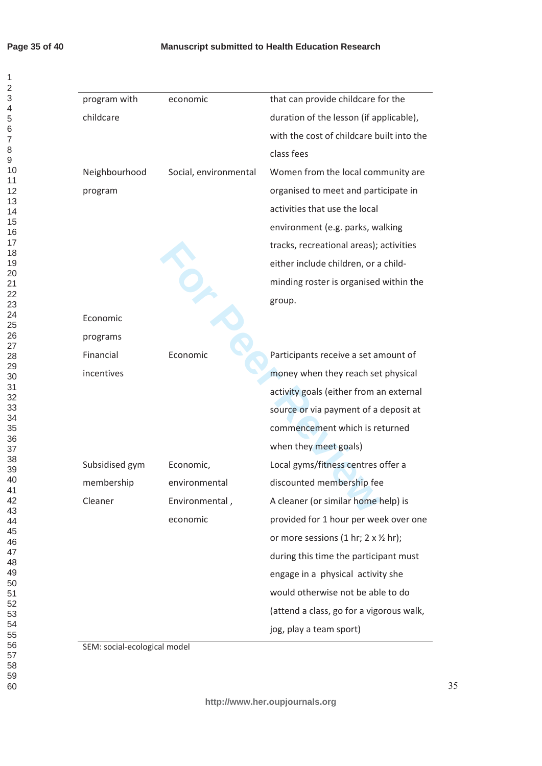# **Page 35 of 40**

# **Manuscript submitted to Health Education Research**

| program with   | economic              | that can provide childcare for the                  |
|----------------|-----------------------|-----------------------------------------------------|
| childcare      |                       | duration of the lesson (if applicable),             |
|                |                       | with the cost of childcare built into the           |
|                |                       | class fees                                          |
| Neighbourhood  | Social, environmental | Women from the local community are                  |
| program        |                       | organised to meet and participate in                |
|                |                       | activities that use the local                       |
|                |                       | environment (e.g. parks, walking                    |
|                |                       | tracks, recreational areas); activities             |
|                |                       | either include children, or a child-                |
|                |                       | minding roster is organised within the              |
|                |                       | group.                                              |
| Economic       |                       |                                                     |
| programs       |                       |                                                     |
| Financial      | Economic              | Participants receive a set amount of                |
| incentives     |                       | money when they reach set physical                  |
|                |                       | activity goals (either from an external             |
|                |                       | source or via payment of a deposit at               |
|                |                       | commencement which is returned                      |
|                |                       | when they meet goals)                               |
| Subsidised gym | Economic,             | Local gyms/fitness centres offer a                  |
| membership     | environmental         | discounted membership fee                           |
| Cleaner        | Environmental,        | A cleaner (or similar home help) is                 |
|                | economic              | provided for 1 hour per week over one               |
|                |                       | or more sessions (1 hr; $2 \times \frac{1}{2}$ hr); |
|                |                       | during this time the participant must               |
|                |                       | engage in a physical activity she                   |
|                |                       | would otherwise not be able to do                   |
|                |                       | (attend a class, go for a vigorous walk,            |
|                |                       | jog, play a team sport)                             |

SEM: social-ecological model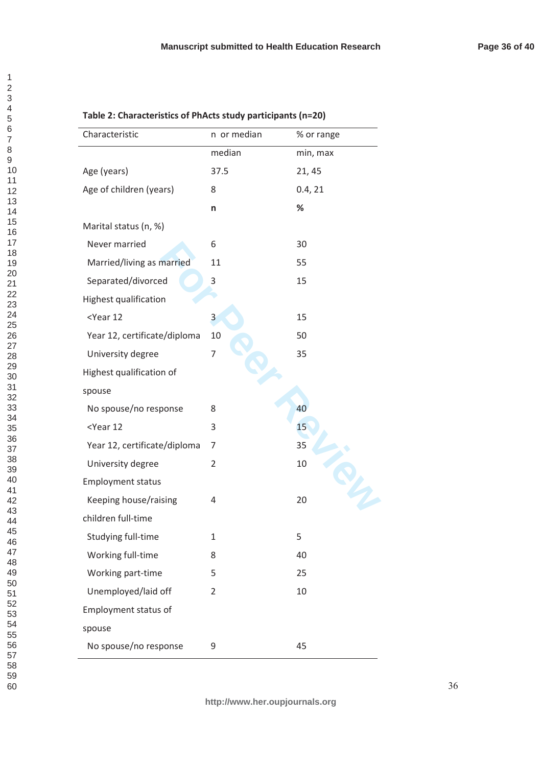| n or median    | % or range |
|----------------|------------|
| median         | min, max   |
| 37.5           | 21, 45     |
| 8              | 0.4, 21    |
| n              | %          |
|                |            |
| 6              | 30         |
| 11             | 55         |
| 3              | 15         |
|                |            |
| 3              | 15         |
| 10             | 50         |
| $\overline{7}$ | 35         |
|                |            |
|                |            |
| 8              | 40         |
| 3              | 15         |
| 7              | 35         |
| 2              | 10         |
|                |            |
| 4              | 20         |
|                |            |
| 1              | 5          |
| 8              | 40         |
| 5              | 25         |
| $\overline{2}$ | 10         |
|                |            |
|                |            |
| 9              | 45         |
|                |            |

# Table 2: Characteristics of PhActs study participants (n=20)

123456789

 $\overline{1}$  $\overline{2}$ 3  $\overline{4}$ 5  $\overline{6}$  $\overline{7}$ 8  $\mathsf g$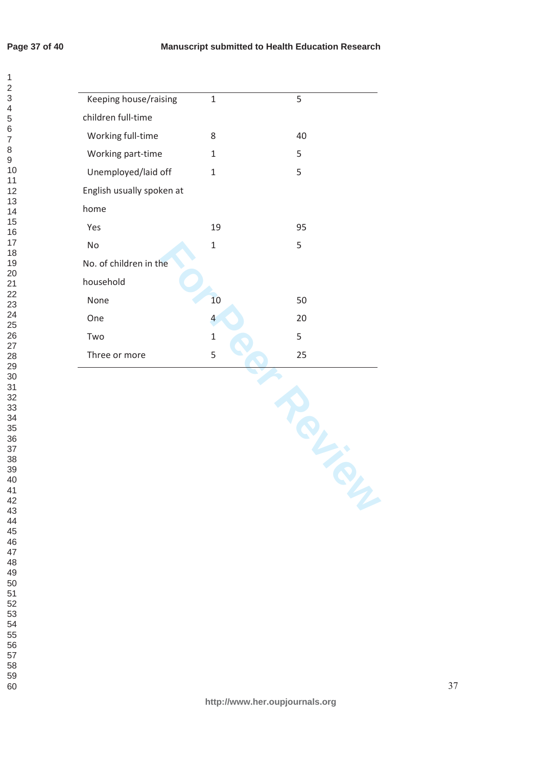# **Page 37 of 40**

 $\mathbf{1}$  $\overline{2}$ 

| Keeping house/raising     | $\mathbf{1}$   | 5  |
|---------------------------|----------------|----|
| children full-time        |                |    |
| Working full-time         | 8              | 40 |
| Working part-time         | $\mathbf{1}$   | 5  |
| Unemployed/laid off       | $\mathbf{1}$   | 5  |
| English usually spoken at |                |    |
| home                      |                |    |
| Yes                       | 19             | 95 |
| No                        | $\mathbf{1}$   | 5  |
| No. of children in the    |                |    |
| household                 |                |    |
| None                      | 10             | 50 |
| One                       | $\overline{4}$ | 20 |
| Two                       | $\mathbf 1$    | 5  |
| Three or more             | 5              | 25 |
|                           |                |    |
|                           |                |    |
|                           |                |    |
|                           |                |    |
|                           |                |    |
|                           |                |    |
|                           |                |    |
|                           |                |    |
|                           |                |    |

**http://www.her.oupjournals.org**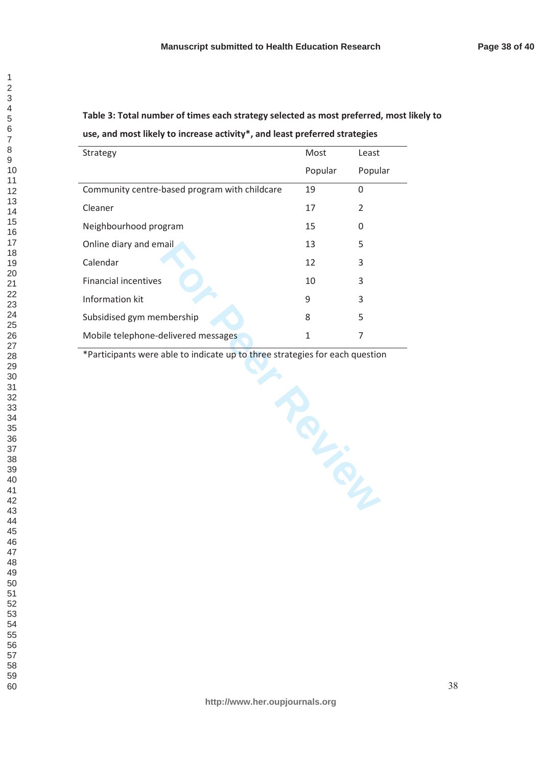Table 3: Total number of times each strategy selected as most preferred, most likely to use, and most likely to increase activity<sup>\*</sup>, and least preferred strategies

| Strategy                                      | Most    | Least    |
|-----------------------------------------------|---------|----------|
|                                               | Popular | Popular  |
| Community centre-based program with childcare | 19      | $\Omega$ |
| Cleaner                                       | 17      | 2        |
| Neighbourhood program                         | 15      | 0        |
| Online diary and email                        | 13      | 5        |
| Calendar                                      | 12      | 3        |
| <b>Financial incentives</b>                   | 10      | 3        |
| Information kit                               | 9       | 3        |
| Subsidised gym membership                     | 8       | 5        |
| Mobile telephone-delivered messages           |         |          |

**France** \*Participants were able to indicate up to three strategies for each question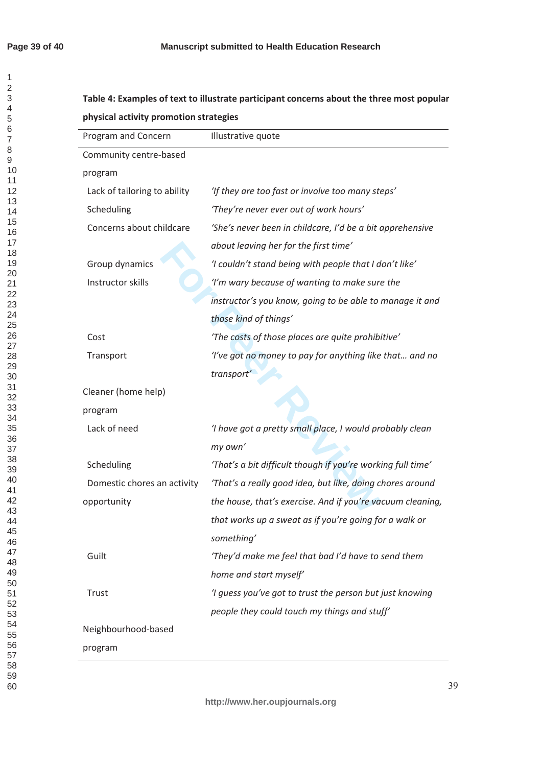$\mathbf{1}$  $\overline{2}$  $\overline{3}$  $\overline{\mathbf{4}}$ 5  $\,6\,$ 

# Table 4: Examples of text to illustrate participant concerns about the three most popular physical activity promotion strategies

| Program and Concern          | Illustrative quote                                          |
|------------------------------|-------------------------------------------------------------|
| Community centre-based       |                                                             |
| program                      |                                                             |
| Lack of tailoring to ability | 'If they are too fast or involve too many steps'            |
| Scheduling                   | 'They're never ever out of work hours'                      |
| Concerns about childcare     | 'She's never been in childcare, I'd be a bit apprehensive   |
|                              | about leaving her for the first time'                       |
| Group dynamics               | 'I couldn't stand being with people that I don't like'      |
| Instructor skills            | 'I'm wary because of wanting to make sure the               |
|                              | instructor's you know, going to be able to manage it and    |
|                              | those kind of things'                                       |
| Cost                         | 'The costs of those places are quite prohibitive'           |
| Transport                    | 'I've got no money to pay for anything like that and no     |
|                              | transport'                                                  |
| Cleaner (home help)          |                                                             |
| program                      |                                                             |
| Lack of need                 | 'I have got a pretty small place, I would probably clean    |
|                              | my own'                                                     |
| Scheduling                   | 'That's a bit difficult though if you're working full time' |
| Domestic chores an activity  | 'That's a really good idea, but like, doing chores around   |
| opportunity                  | the house, that's exercise. And if you're vacuum cleaning,  |
|                              | that works up a sweat as if you're going for a walk or      |
|                              | something'                                                  |
| Guilt                        | 'They'd make me feel that bad I'd have to send them         |
|                              | home and start myself'                                      |
| Trust                        | 'I guess you've got to trust the person but just knowing    |
|                              | people they could touch my things and stuff'                |
| Neighbourhood-based          |                                                             |
| program                      |                                                             |